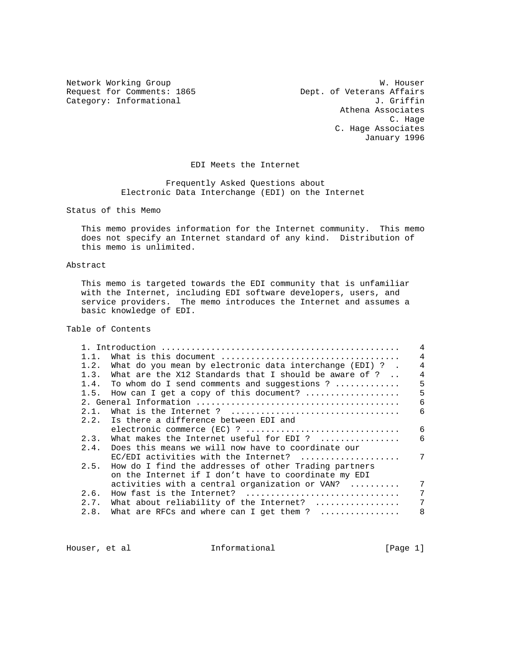Request for Comments: 1865 Dept. of Veterans Affairs<br>Category: Informational departments: U. Griffin Category: Informational

Network Working Group<br>Request for Comments: 1865 Meguest for Comments: 1865 Meguest for Comments: 1865 Athena Associates C. Hage C. Hage Associates January 1996

## EDI Meets the Internet

 Frequently Asked Questions about Electronic Data Interchange (EDI) on the Internet

Status of this Memo

 This memo provides information for the Internet community. This memo does not specify an Internet standard of any kind. Distribution of this memo is unlimited.

# Abstract

 This memo is targeted towards the EDI community that is unfamiliar with the Internet, including EDI software developers, users, and service providers. The memo introduces the Internet and assumes a basic knowledge of EDI.

Table of Contents

| 1.1. |                                                                 | 4 |
|------|-----------------------------------------------------------------|---|
| 1.2. | What do you mean by electronic data interchange (EDI) ? .       | 4 |
| 1.3. | What are the X12 Standards that I should be aware of ? $\ldots$ | 4 |
| 1.4. | To whom do I send comments and suggestions ? $\ldots$           | 5 |
| 1.5. | How can I get a copy of this document?                          | 5 |
|      |                                                                 | 6 |
| 2.1. |                                                                 | 6 |
|      | 2.2. Is there a difference between EDI and                      |   |
|      | electronic commerce (EC) ?                                      | 6 |
|      | 2.3. What makes the Internet useful for EDI ?                   | 6 |
|      | 2.4. Does this means we will now have to coordinate our         |   |
|      | $EC/EDI$ activities with the Internet?                          | 7 |
| 2.5. | How do I find the addresses of other Trading partners           |   |
|      | on the Internet if I don't have to coordinate my EDI            |   |
|      | activities with a central organization or VAN?                  |   |
| 2.6. | How fast is the Internet?                                       | 7 |
| 2.7. | What about reliability of the Internet?                         | 7 |
| 2.8. | What are RFCs and where can I get them ? $\ldots$               | 8 |
|      |                                                                 |   |

Houser, et al **Informational** [Page 1]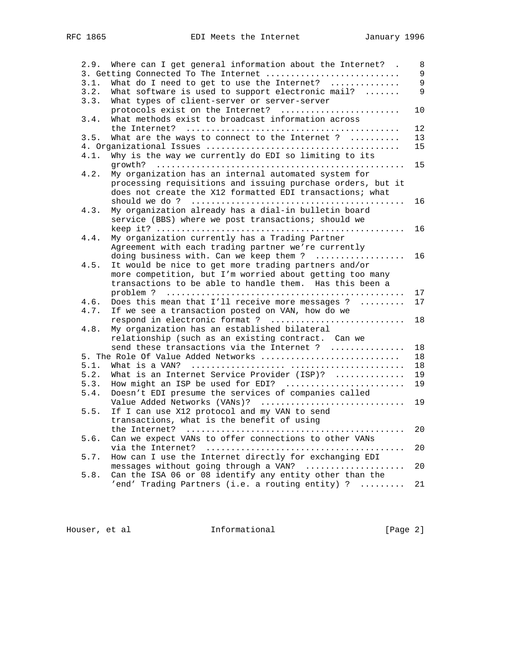| What do I need to get to use the Internet?<br>3.1.<br>3.2.<br>What software is used to support electronic mail?<br>What types of client-server or server-server<br>3.3.<br>protocols exist on the Internet?<br>What methods exist to broadcast information across<br>3.4.<br>What are the ways to connect to the Internet ?<br>3.5.<br>Why is the way we currently do EDI so limiting to its<br>4.1.<br>4.2.<br>My organization has an internal automated system for<br>processing requisitions and issuing purchase orders, but it<br>does not create the X12 formatted EDI transactions; what<br>My organization already has a dial-in bulletin board<br>4.3.<br>service (BBS) where we post transactions; should we<br>My organization currently has a Trading Partner<br>4.4.<br>Agreement with each trading partner we're currently<br>doing business with. Can we keep them?<br>It would be nice to get more trading partners and/or<br>4.5.<br>more competition, but I'm worried about getting too many<br>transactions to be able to handle them. Has this been a<br>Does this mean that I'll receive more messages ?<br>4.6.<br>If we see a transaction posted on VAN, how do we<br>4.7.<br>respond in electronic format ?<br>My organization has an established bilateral<br>4.8.<br>relationship (such as an existing contract. Can we<br>send these transactions via the Internet ?<br>5. The Role Of Value Added Networks<br>5.1.<br>5.2.<br>What is an Internet Service Provider (ISP)? $\ldots$<br>How might an ISP be used for EDI?<br>5.3.<br>Doesn't EDI presume the services of companies called<br>5.4.<br>Value Added Networks (VANs)?<br>If I can use X12 protocol and my VAN to send<br>5.5.<br>transactions, what is the benefit of using<br>Can we expect VANs to offer connections to other VANs<br>5.6.<br>How can I use the Internet directly for exchanging EDI<br>5.7.<br>messages without going through a VAN?<br>Can the ISA 06 or 08 identify any entity other than the<br>5.8.<br>'end' Trading Partners (i.e. a routing entity) ? | 2.9. | Where can I get general information about the Internet? .<br>3. Getting Connected To The Internet | 8<br>9         |
|----------------------------------------------------------------------------------------------------------------------------------------------------------------------------------------------------------------------------------------------------------------------------------------------------------------------------------------------------------------------------------------------------------------------------------------------------------------------------------------------------------------------------------------------------------------------------------------------------------------------------------------------------------------------------------------------------------------------------------------------------------------------------------------------------------------------------------------------------------------------------------------------------------------------------------------------------------------------------------------------------------------------------------------------------------------------------------------------------------------------------------------------------------------------------------------------------------------------------------------------------------------------------------------------------------------------------------------------------------------------------------------------------------------------------------------------------------------------------------------------------------------------------------------------------------------------------------------------------------------------------------------------------------------------------------------------------------------------------------------------------------------------------------------------------------------------------------------------------------------------------------------------------------------------------------------------------------------------------------------------------------------------------------------------------------------------|------|---------------------------------------------------------------------------------------------------|----------------|
|                                                                                                                                                                                                                                                                                                                                                                                                                                                                                                                                                                                                                                                                                                                                                                                                                                                                                                                                                                                                                                                                                                                                                                                                                                                                                                                                                                                                                                                                                                                                                                                                                                                                                                                                                                                                                                                                                                                                                                                                                                                                      |      |                                                                                                   | $\overline{9}$ |
|                                                                                                                                                                                                                                                                                                                                                                                                                                                                                                                                                                                                                                                                                                                                                                                                                                                                                                                                                                                                                                                                                                                                                                                                                                                                                                                                                                                                                                                                                                                                                                                                                                                                                                                                                                                                                                                                                                                                                                                                                                                                      |      |                                                                                                   | 9              |
|                                                                                                                                                                                                                                                                                                                                                                                                                                                                                                                                                                                                                                                                                                                                                                                                                                                                                                                                                                                                                                                                                                                                                                                                                                                                                                                                                                                                                                                                                                                                                                                                                                                                                                                                                                                                                                                                                                                                                                                                                                                                      |      |                                                                                                   |                |
|                                                                                                                                                                                                                                                                                                                                                                                                                                                                                                                                                                                                                                                                                                                                                                                                                                                                                                                                                                                                                                                                                                                                                                                                                                                                                                                                                                                                                                                                                                                                                                                                                                                                                                                                                                                                                                                                                                                                                                                                                                                                      |      |                                                                                                   | 10             |
|                                                                                                                                                                                                                                                                                                                                                                                                                                                                                                                                                                                                                                                                                                                                                                                                                                                                                                                                                                                                                                                                                                                                                                                                                                                                                                                                                                                                                                                                                                                                                                                                                                                                                                                                                                                                                                                                                                                                                                                                                                                                      |      |                                                                                                   |                |
|                                                                                                                                                                                                                                                                                                                                                                                                                                                                                                                                                                                                                                                                                                                                                                                                                                                                                                                                                                                                                                                                                                                                                                                                                                                                                                                                                                                                                                                                                                                                                                                                                                                                                                                                                                                                                                                                                                                                                                                                                                                                      |      |                                                                                                   | 12             |
|                                                                                                                                                                                                                                                                                                                                                                                                                                                                                                                                                                                                                                                                                                                                                                                                                                                                                                                                                                                                                                                                                                                                                                                                                                                                                                                                                                                                                                                                                                                                                                                                                                                                                                                                                                                                                                                                                                                                                                                                                                                                      |      |                                                                                                   | 13             |
|                                                                                                                                                                                                                                                                                                                                                                                                                                                                                                                                                                                                                                                                                                                                                                                                                                                                                                                                                                                                                                                                                                                                                                                                                                                                                                                                                                                                                                                                                                                                                                                                                                                                                                                                                                                                                                                                                                                                                                                                                                                                      |      |                                                                                                   | 15             |
|                                                                                                                                                                                                                                                                                                                                                                                                                                                                                                                                                                                                                                                                                                                                                                                                                                                                                                                                                                                                                                                                                                                                                                                                                                                                                                                                                                                                                                                                                                                                                                                                                                                                                                                                                                                                                                                                                                                                                                                                                                                                      |      |                                                                                                   |                |
|                                                                                                                                                                                                                                                                                                                                                                                                                                                                                                                                                                                                                                                                                                                                                                                                                                                                                                                                                                                                                                                                                                                                                                                                                                                                                                                                                                                                                                                                                                                                                                                                                                                                                                                                                                                                                                                                                                                                                                                                                                                                      |      |                                                                                                   |                |
|                                                                                                                                                                                                                                                                                                                                                                                                                                                                                                                                                                                                                                                                                                                                                                                                                                                                                                                                                                                                                                                                                                                                                                                                                                                                                                                                                                                                                                                                                                                                                                                                                                                                                                                                                                                                                                                                                                                                                                                                                                                                      |      |                                                                                                   | 15             |
|                                                                                                                                                                                                                                                                                                                                                                                                                                                                                                                                                                                                                                                                                                                                                                                                                                                                                                                                                                                                                                                                                                                                                                                                                                                                                                                                                                                                                                                                                                                                                                                                                                                                                                                                                                                                                                                                                                                                                                                                                                                                      |      |                                                                                                   |                |
|                                                                                                                                                                                                                                                                                                                                                                                                                                                                                                                                                                                                                                                                                                                                                                                                                                                                                                                                                                                                                                                                                                                                                                                                                                                                                                                                                                                                                                                                                                                                                                                                                                                                                                                                                                                                                                                                                                                                                                                                                                                                      |      |                                                                                                   |                |
|                                                                                                                                                                                                                                                                                                                                                                                                                                                                                                                                                                                                                                                                                                                                                                                                                                                                                                                                                                                                                                                                                                                                                                                                                                                                                                                                                                                                                                                                                                                                                                                                                                                                                                                                                                                                                                                                                                                                                                                                                                                                      |      |                                                                                                   |                |
|                                                                                                                                                                                                                                                                                                                                                                                                                                                                                                                                                                                                                                                                                                                                                                                                                                                                                                                                                                                                                                                                                                                                                                                                                                                                                                                                                                                                                                                                                                                                                                                                                                                                                                                                                                                                                                                                                                                                                                                                                                                                      |      |                                                                                                   | 16             |
|                                                                                                                                                                                                                                                                                                                                                                                                                                                                                                                                                                                                                                                                                                                                                                                                                                                                                                                                                                                                                                                                                                                                                                                                                                                                                                                                                                                                                                                                                                                                                                                                                                                                                                                                                                                                                                                                                                                                                                                                                                                                      |      |                                                                                                   |                |
|                                                                                                                                                                                                                                                                                                                                                                                                                                                                                                                                                                                                                                                                                                                                                                                                                                                                                                                                                                                                                                                                                                                                                                                                                                                                                                                                                                                                                                                                                                                                                                                                                                                                                                                                                                                                                                                                                                                                                                                                                                                                      |      |                                                                                                   |                |
|                                                                                                                                                                                                                                                                                                                                                                                                                                                                                                                                                                                                                                                                                                                                                                                                                                                                                                                                                                                                                                                                                                                                                                                                                                                                                                                                                                                                                                                                                                                                                                                                                                                                                                                                                                                                                                                                                                                                                                                                                                                                      |      |                                                                                                   | 16             |
|                                                                                                                                                                                                                                                                                                                                                                                                                                                                                                                                                                                                                                                                                                                                                                                                                                                                                                                                                                                                                                                                                                                                                                                                                                                                                                                                                                                                                                                                                                                                                                                                                                                                                                                                                                                                                                                                                                                                                                                                                                                                      |      |                                                                                                   |                |
|                                                                                                                                                                                                                                                                                                                                                                                                                                                                                                                                                                                                                                                                                                                                                                                                                                                                                                                                                                                                                                                                                                                                                                                                                                                                                                                                                                                                                                                                                                                                                                                                                                                                                                                                                                                                                                                                                                                                                                                                                                                                      |      |                                                                                                   |                |
|                                                                                                                                                                                                                                                                                                                                                                                                                                                                                                                                                                                                                                                                                                                                                                                                                                                                                                                                                                                                                                                                                                                                                                                                                                                                                                                                                                                                                                                                                                                                                                                                                                                                                                                                                                                                                                                                                                                                                                                                                                                                      |      |                                                                                                   | 16             |
|                                                                                                                                                                                                                                                                                                                                                                                                                                                                                                                                                                                                                                                                                                                                                                                                                                                                                                                                                                                                                                                                                                                                                                                                                                                                                                                                                                                                                                                                                                                                                                                                                                                                                                                                                                                                                                                                                                                                                                                                                                                                      |      |                                                                                                   |                |
|                                                                                                                                                                                                                                                                                                                                                                                                                                                                                                                                                                                                                                                                                                                                                                                                                                                                                                                                                                                                                                                                                                                                                                                                                                                                                                                                                                                                                                                                                                                                                                                                                                                                                                                                                                                                                                                                                                                                                                                                                                                                      |      |                                                                                                   |                |
|                                                                                                                                                                                                                                                                                                                                                                                                                                                                                                                                                                                                                                                                                                                                                                                                                                                                                                                                                                                                                                                                                                                                                                                                                                                                                                                                                                                                                                                                                                                                                                                                                                                                                                                                                                                                                                                                                                                                                                                                                                                                      |      |                                                                                                   |                |
|                                                                                                                                                                                                                                                                                                                                                                                                                                                                                                                                                                                                                                                                                                                                                                                                                                                                                                                                                                                                                                                                                                                                                                                                                                                                                                                                                                                                                                                                                                                                                                                                                                                                                                                                                                                                                                                                                                                                                                                                                                                                      |      |                                                                                                   | 17             |
|                                                                                                                                                                                                                                                                                                                                                                                                                                                                                                                                                                                                                                                                                                                                                                                                                                                                                                                                                                                                                                                                                                                                                                                                                                                                                                                                                                                                                                                                                                                                                                                                                                                                                                                                                                                                                                                                                                                                                                                                                                                                      |      |                                                                                                   | 17             |
|                                                                                                                                                                                                                                                                                                                                                                                                                                                                                                                                                                                                                                                                                                                                                                                                                                                                                                                                                                                                                                                                                                                                                                                                                                                                                                                                                                                                                                                                                                                                                                                                                                                                                                                                                                                                                                                                                                                                                                                                                                                                      |      |                                                                                                   |                |
|                                                                                                                                                                                                                                                                                                                                                                                                                                                                                                                                                                                                                                                                                                                                                                                                                                                                                                                                                                                                                                                                                                                                                                                                                                                                                                                                                                                                                                                                                                                                                                                                                                                                                                                                                                                                                                                                                                                                                                                                                                                                      |      |                                                                                                   | 18             |
|                                                                                                                                                                                                                                                                                                                                                                                                                                                                                                                                                                                                                                                                                                                                                                                                                                                                                                                                                                                                                                                                                                                                                                                                                                                                                                                                                                                                                                                                                                                                                                                                                                                                                                                                                                                                                                                                                                                                                                                                                                                                      |      |                                                                                                   |                |
|                                                                                                                                                                                                                                                                                                                                                                                                                                                                                                                                                                                                                                                                                                                                                                                                                                                                                                                                                                                                                                                                                                                                                                                                                                                                                                                                                                                                                                                                                                                                                                                                                                                                                                                                                                                                                                                                                                                                                                                                                                                                      |      |                                                                                                   |                |
|                                                                                                                                                                                                                                                                                                                                                                                                                                                                                                                                                                                                                                                                                                                                                                                                                                                                                                                                                                                                                                                                                                                                                                                                                                                                                                                                                                                                                                                                                                                                                                                                                                                                                                                                                                                                                                                                                                                                                                                                                                                                      |      |                                                                                                   | 18             |
|                                                                                                                                                                                                                                                                                                                                                                                                                                                                                                                                                                                                                                                                                                                                                                                                                                                                                                                                                                                                                                                                                                                                                                                                                                                                                                                                                                                                                                                                                                                                                                                                                                                                                                                                                                                                                                                                                                                                                                                                                                                                      |      |                                                                                                   | 18             |
|                                                                                                                                                                                                                                                                                                                                                                                                                                                                                                                                                                                                                                                                                                                                                                                                                                                                                                                                                                                                                                                                                                                                                                                                                                                                                                                                                                                                                                                                                                                                                                                                                                                                                                                                                                                                                                                                                                                                                                                                                                                                      |      |                                                                                                   | 18             |
|                                                                                                                                                                                                                                                                                                                                                                                                                                                                                                                                                                                                                                                                                                                                                                                                                                                                                                                                                                                                                                                                                                                                                                                                                                                                                                                                                                                                                                                                                                                                                                                                                                                                                                                                                                                                                                                                                                                                                                                                                                                                      |      |                                                                                                   | 19             |
|                                                                                                                                                                                                                                                                                                                                                                                                                                                                                                                                                                                                                                                                                                                                                                                                                                                                                                                                                                                                                                                                                                                                                                                                                                                                                                                                                                                                                                                                                                                                                                                                                                                                                                                                                                                                                                                                                                                                                                                                                                                                      |      |                                                                                                   | 19             |
|                                                                                                                                                                                                                                                                                                                                                                                                                                                                                                                                                                                                                                                                                                                                                                                                                                                                                                                                                                                                                                                                                                                                                                                                                                                                                                                                                                                                                                                                                                                                                                                                                                                                                                                                                                                                                                                                                                                                                                                                                                                                      |      |                                                                                                   |                |
|                                                                                                                                                                                                                                                                                                                                                                                                                                                                                                                                                                                                                                                                                                                                                                                                                                                                                                                                                                                                                                                                                                                                                                                                                                                                                                                                                                                                                                                                                                                                                                                                                                                                                                                                                                                                                                                                                                                                                                                                                                                                      |      |                                                                                                   |                |
|                                                                                                                                                                                                                                                                                                                                                                                                                                                                                                                                                                                                                                                                                                                                                                                                                                                                                                                                                                                                                                                                                                                                                                                                                                                                                                                                                                                                                                                                                                                                                                                                                                                                                                                                                                                                                                                                                                                                                                                                                                                                      |      |                                                                                                   | 19             |
|                                                                                                                                                                                                                                                                                                                                                                                                                                                                                                                                                                                                                                                                                                                                                                                                                                                                                                                                                                                                                                                                                                                                                                                                                                                                                                                                                                                                                                                                                                                                                                                                                                                                                                                                                                                                                                                                                                                                                                                                                                                                      |      |                                                                                                   |                |
|                                                                                                                                                                                                                                                                                                                                                                                                                                                                                                                                                                                                                                                                                                                                                                                                                                                                                                                                                                                                                                                                                                                                                                                                                                                                                                                                                                                                                                                                                                                                                                                                                                                                                                                                                                                                                                                                                                                                                                                                                                                                      |      |                                                                                                   |                |
|                                                                                                                                                                                                                                                                                                                                                                                                                                                                                                                                                                                                                                                                                                                                                                                                                                                                                                                                                                                                                                                                                                                                                                                                                                                                                                                                                                                                                                                                                                                                                                                                                                                                                                                                                                                                                                                                                                                                                                                                                                                                      |      |                                                                                                   | 20             |
|                                                                                                                                                                                                                                                                                                                                                                                                                                                                                                                                                                                                                                                                                                                                                                                                                                                                                                                                                                                                                                                                                                                                                                                                                                                                                                                                                                                                                                                                                                                                                                                                                                                                                                                                                                                                                                                                                                                                                                                                                                                                      |      |                                                                                                   |                |
|                                                                                                                                                                                                                                                                                                                                                                                                                                                                                                                                                                                                                                                                                                                                                                                                                                                                                                                                                                                                                                                                                                                                                                                                                                                                                                                                                                                                                                                                                                                                                                                                                                                                                                                                                                                                                                                                                                                                                                                                                                                                      |      |                                                                                                   | 20             |
|                                                                                                                                                                                                                                                                                                                                                                                                                                                                                                                                                                                                                                                                                                                                                                                                                                                                                                                                                                                                                                                                                                                                                                                                                                                                                                                                                                                                                                                                                                                                                                                                                                                                                                                                                                                                                                                                                                                                                                                                                                                                      |      |                                                                                                   |                |
|                                                                                                                                                                                                                                                                                                                                                                                                                                                                                                                                                                                                                                                                                                                                                                                                                                                                                                                                                                                                                                                                                                                                                                                                                                                                                                                                                                                                                                                                                                                                                                                                                                                                                                                                                                                                                                                                                                                                                                                                                                                                      |      |                                                                                                   | 20             |
|                                                                                                                                                                                                                                                                                                                                                                                                                                                                                                                                                                                                                                                                                                                                                                                                                                                                                                                                                                                                                                                                                                                                                                                                                                                                                                                                                                                                                                                                                                                                                                                                                                                                                                                                                                                                                                                                                                                                                                                                                                                                      |      |                                                                                                   |                |
|                                                                                                                                                                                                                                                                                                                                                                                                                                                                                                                                                                                                                                                                                                                                                                                                                                                                                                                                                                                                                                                                                                                                                                                                                                                                                                                                                                                                                                                                                                                                                                                                                                                                                                                                                                                                                                                                                                                                                                                                                                                                      |      |                                                                                                   | 21             |

Houser, et al **Informational Informational** [Page 2]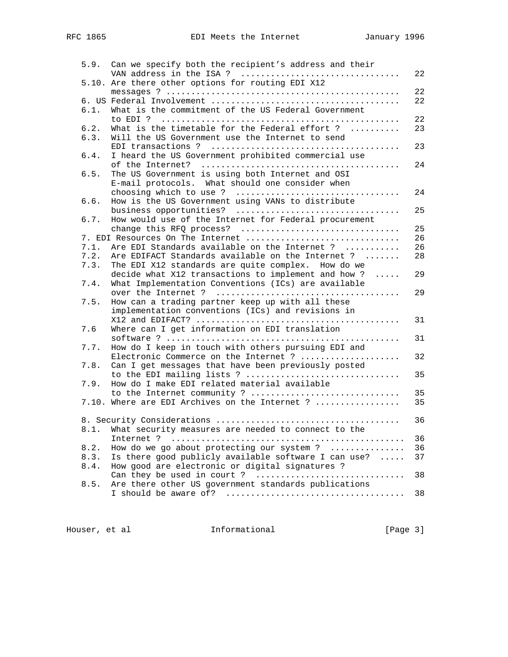|      | 5.9. Can we specify both the recipient's address and their |    |
|------|------------------------------------------------------------|----|
|      | VAN address in the ISA ?                                   | 22 |
|      | 5.10. Are there other options for routing EDI X12          |    |
|      |                                                            | 22 |
|      |                                                            | 22 |
| 6.1. | What is the commitment of the US Federal Government        |    |
|      |                                                            | 22 |
| 6.2. | What is the timetable for the Federal effort ?             | 23 |
| 6.3. | Will the US Government use the Internet to send            |    |
|      |                                                            | 23 |
| 6.4. | I heard the US Government prohibited commercial use        |    |
|      |                                                            | 24 |
| 6.5. | The US Government is using both Internet and OSI           |    |
|      | E-mail protocols. What should one consider when            |    |
|      |                                                            | 24 |
| 6.6. | How is the US Government using VANs to distribute          |    |
|      | business opportunities?                                    | 25 |
| 6.7. | How would use of the Internet for Federal procurement      |    |
|      | change this RFQ process?                                   | 25 |
|      | 7. EDI Resources On The Internet                           | 26 |
| 7.1. | Are EDI Standards available on the Internet ?              | 26 |
| 7.2. | Are EDIFACT Standards available on the Internet ?          | 28 |
| 7.3. | The EDI X12 standards are quite complex. How do we         |    |
|      | decide what X12 transactions to implement and how ?        | 29 |
| 7.4. | What Implementation Conventions (ICs) are available        |    |
|      |                                                            | 29 |
| 7.5. | How can a trading partner keep up with all these           |    |
|      | implementation conventions (ICs) and revisions in          |    |
|      |                                                            | 31 |
| 7.6  | Where can I get information on EDI translation             |    |
|      |                                                            | 31 |
| 7.7. | How do I keep in touch with others pursuing EDI and        |    |
|      | Electronic Commerce on the Internet ?                      | 32 |
| 7.8. | Can I get messages that have been previously posted        |    |
|      | to the EDI mailing lists ?                                 | 35 |
| 7.9. | How do I make EDI related material available               |    |
|      | to the Internet community ?                                | 35 |
|      | 7.10. Where are EDI Archives on the Internet ?             | 35 |
|      |                                                            |    |
|      |                                                            | 36 |
|      | 8.1. What security measures are needed to connect to the   |    |
|      |                                                            | 36 |
| 8.2. | How do we go about protecting our system ?                 | 36 |
| 8.3. | Is there good publicly available software I can use?       | 37 |
| 8.4. | How good are electronic or digital signatures ?            |    |
|      | Can they be used in court ?                                | 38 |
| 8.5. | Are there other US government standards publications       |    |
|      |                                                            | 38 |

Houser, et al **Informational Informational** [Page 3]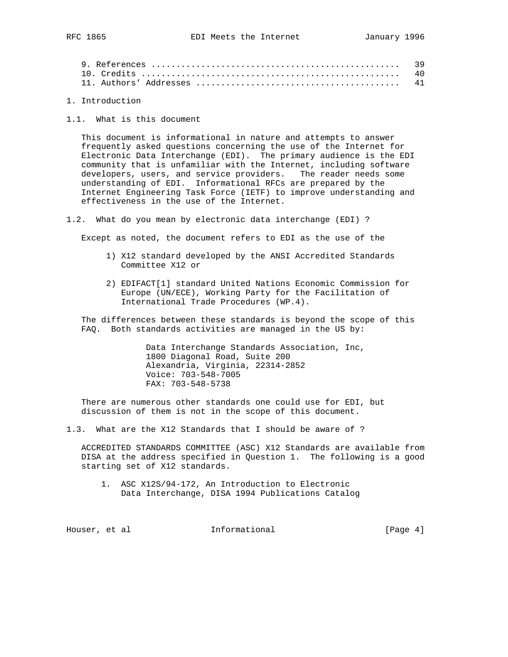| 40 |
|----|
|    |

1. Introduction

1.1. What is this document

 This document is informational in nature and attempts to answer frequently asked questions concerning the use of the Internet for Electronic Data Interchange (EDI). The primary audience is the EDI community that is unfamiliar with the Internet, including software developers, users, and service providers. The reader needs some understanding of EDI. Informational RFCs are prepared by the Internet Engineering Task Force (IETF) to improve understanding and effectiveness in the use of the Internet.

1.2. What do you mean by electronic data interchange (EDI) ?

Except as noted, the document refers to EDI as the use of the

- 1) X12 standard developed by the ANSI Accredited Standards Committee X12 or
- 2) EDIFACT[1] standard United Nations Economic Commission for Europe (UN/ECE), Working Party for the Facilitation of International Trade Procedures (WP.4).

 The differences between these standards is beyond the scope of this FAQ. Both standards activities are managed in the US by:

> Data Interchange Standards Association, Inc, 1800 Diagonal Road, Suite 200 Alexandria, Virginia, 22314-2852 Voice: 703-548-7005 FAX: 703-548-5738

 There are numerous other standards one could use for EDI, but discussion of them is not in the scope of this document.

1.3. What are the X12 Standards that I should be aware of ?

 ACCREDITED STANDARDS COMMITTEE (ASC) X12 Standards are available from DISA at the address specified in Question 1. The following is a good starting set of X12 standards.

 1. ASC X12S/94-172, An Introduction to Electronic Data Interchange, DISA 1994 Publications Catalog

Houser, et al informational [Page 4]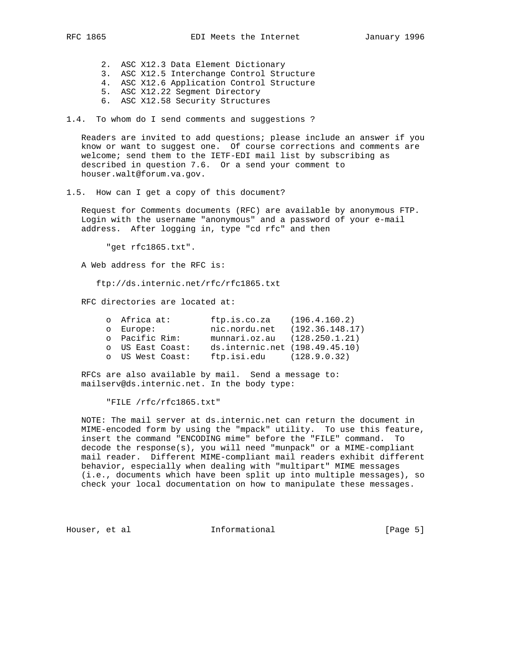- 2. ASC X12.3 Data Element Dictionary
- 3. ASC X12.5 Interchange Control Structure
- 4. ASC X12.6 Application Control Structure
	- 5. ASC X12.22 Segment Directory
	- 6. ASC X12.58 Security Structures

1.4. To whom do I send comments and suggestions ?

 Readers are invited to add questions; please include an answer if you know or want to suggest one. Of course corrections and comments are welcome; send them to the IETF-EDI mail list by subscribing as described in question 7.6. Or a send your comment to houser.walt@forum.va.gov.

1.5. How can I get a copy of this document?

 Request for Comments documents (RFC) are available by anonymous FTP. Login with the username "anonymous" and a password of your e-mail address. After logging in, type "cd rfc" and then

"get rfc1865.txt".

A Web address for the RFC is:

ftp://ds.internic.net/rfc/rfc1865.txt

RFC directories are located at:

| o Africa at:     | ftp.is.co.za                   | (196.4.160.2)   |
|------------------|--------------------------------|-----------------|
| o Europe:        | nic.nordu.net                  | (192.36.148.17) |
| o Pacific Rim:   | munnari.oz.au $(128.250.1.21)$ |                 |
| o US East Coast: | ds.internic.net (198.49.45.10) |                 |
| o US West Coast: | $ftp.isi.edu$ $(128.9.0.32)$   |                 |

RFCs are also available by mail. Send a message to: mailserv@ds.internic.net. In the body type:

"FILE /rfc/rfc1865.txt"

 NOTE: The mail server at ds.internic.net can return the document in MIME-encoded form by using the "mpack" utility. To use this feature, insert the command "ENCODING mime" before the "FILE" command. To decode the response(s), you will need "munpack" or a MIME-compliant mail reader. Different MIME-compliant mail readers exhibit different behavior, especially when dealing with "multipart" MIME messages (i.e., documents which have been split up into multiple messages), so check your local documentation on how to manipulate these messages.

Houser, et al informational [Page 5]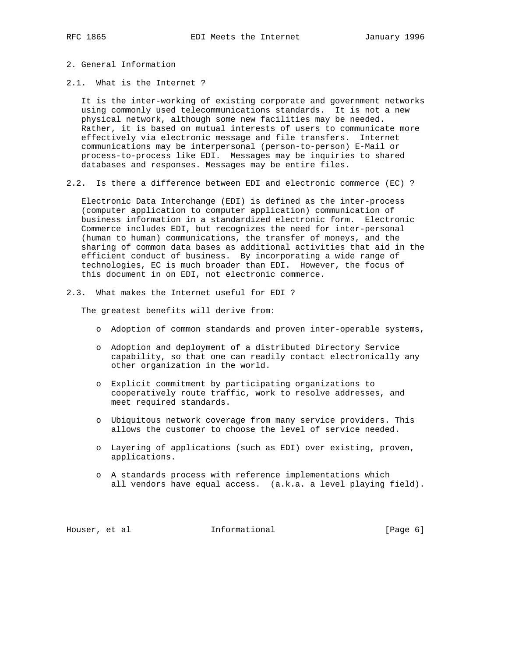- 2. General Information
- 2.1. What is the Internet ?

 It is the inter-working of existing corporate and government networks using commonly used telecommunications standards. It is not a new physical network, although some new facilities may be needed. Rather, it is based on mutual interests of users to communicate more effectively via electronic message and file transfers. Internet communications may be interpersonal (person-to-person) E-Mail or process-to-process like EDI. Messages may be inquiries to shared databases and responses. Messages may be entire files.

2.2. Is there a difference between EDI and electronic commerce (EC) ?

 Electronic Data Interchange (EDI) is defined as the inter-process (computer application to computer application) communication of business information in a standardized electronic form. Electronic Commerce includes EDI, but recognizes the need for inter-personal (human to human) communications, the transfer of moneys, and the sharing of common data bases as additional activities that aid in the efficient conduct of business. By incorporating a wide range of technologies, EC is much broader than EDI. However, the focus of this document in on EDI, not electronic commerce.

2.3. What makes the Internet useful for EDI ?

The greatest benefits will derive from:

- o Adoption of common standards and proven inter-operable systems,
- o Adoption and deployment of a distributed Directory Service capability, so that one can readily contact electronically any other organization in the world.
- o Explicit commitment by participating organizations to cooperatively route traffic, work to resolve addresses, and meet required standards.
- o Ubiquitous network coverage from many service providers. This allows the customer to choose the level of service needed.
- o Layering of applications (such as EDI) over existing, proven, applications.
- o A standards process with reference implementations which all vendors have equal access. (a.k.a. a level playing field).

Houser, et al **Informational** [Page 6]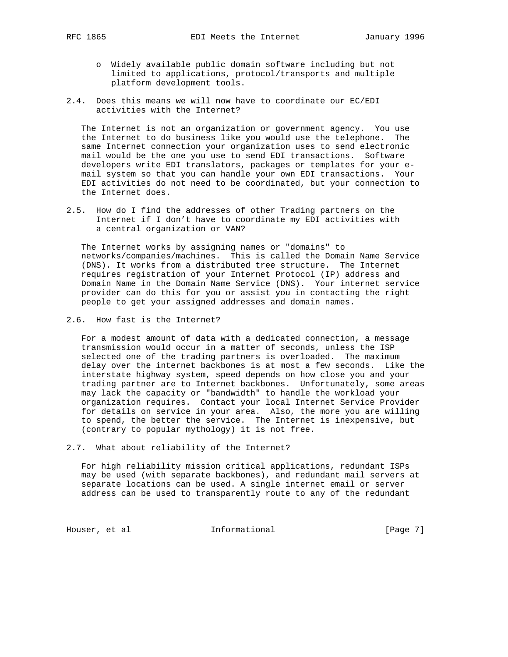- o Widely available public domain software including but not limited to applications, protocol/transports and multiple platform development tools.
- 2.4. Does this means we will now have to coordinate our EC/EDI activities with the Internet?

 The Internet is not an organization or government agency. You use the Internet to do business like you would use the telephone. The same Internet connection your organization uses to send electronic mail would be the one you use to send EDI transactions. Software developers write EDI translators, packages or templates for your e mail system so that you can handle your own EDI transactions. Your EDI activities do not need to be coordinated, but your connection to the Internet does.

2.5. How do I find the addresses of other Trading partners on the Internet if I don't have to coordinate my EDI activities with a central organization or VAN?

 The Internet works by assigning names or "domains" to networks/companies/machines. This is called the Domain Name Service (DNS). It works from a distributed tree structure. The Internet requires registration of your Internet Protocol (IP) address and Domain Name in the Domain Name Service (DNS). Your internet service provider can do this for you or assist you in contacting the right people to get your assigned addresses and domain names.

2.6. How fast is the Internet?

 For a modest amount of data with a dedicated connection, a message transmission would occur in a matter of seconds, unless the ISP selected one of the trading partners is overloaded. The maximum delay over the internet backbones is at most a few seconds. Like the interstate highway system, speed depends on how close you and your trading partner are to Internet backbones. Unfortunately, some areas may lack the capacity or "bandwidth" to handle the workload your organization requires. Contact your local Internet Service Provider for details on service in your area. Also, the more you are willing to spend, the better the service. The Internet is inexpensive, but (contrary to popular mythology) it is not free.

2.7. What about reliability of the Internet?

 For high reliability mission critical applications, redundant ISPs may be used (with separate backbones), and redundant mail servers at separate locations can be used. A single internet email or server address can be used to transparently route to any of the redundant

Houser, et al **Informational** [Page 7]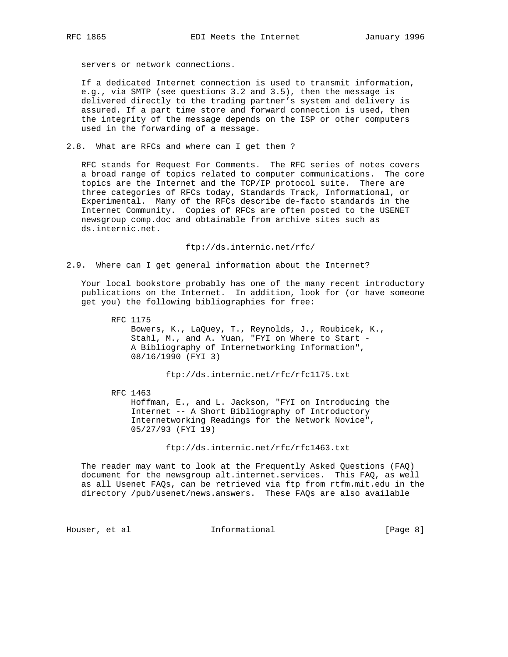servers or network connections.

 If a dedicated Internet connection is used to transmit information, e.g., via SMTP (see questions 3.2 and 3.5), then the message is delivered directly to the trading partner's system and delivery is assured. If a part time store and forward connection is used, then the integrity of the message depends on the ISP or other computers used in the forwarding of a message.

2.8. What are RFCs and where can I get them ?

 RFC stands for Request For Comments. The RFC series of notes covers a broad range of topics related to computer communications. The core topics are the Internet and the TCP/IP protocol suite. There are three categories of RFCs today, Standards Track, Informational, or Experimental. Many of the RFCs describe de-facto standards in the Internet Community. Copies of RFCs are often posted to the USENET newsgroup comp.doc and obtainable from archive sites such as ds.internic.net.

ftp://ds.internic.net/rfc/

2.9. Where can I get general information about the Internet?

 Your local bookstore probably has one of the many recent introductory publications on the Internet. In addition, look for (or have someone get you) the following bibliographies for free:

 RFC 1175 Bowers, K., LaQuey, T., Reynolds, J., Roubicek, K., Stahl, M., and A. Yuan, "FYI on Where to Start - A Bibliography of Internetworking Information", 08/16/1990 (FYI 3)

ftp://ds.internic.net/rfc/rfc1175.txt

RFC 1463

 Hoffman, E., and L. Jackson, "FYI on Introducing the Internet -- A Short Bibliography of Introductory Internetworking Readings for the Network Novice", 05/27/93 (FYI 19)

ftp://ds.internic.net/rfc/rfc1463.txt

 The reader may want to look at the Frequently Asked Questions (FAQ) document for the newsgroup alt.internet.services. This FAQ, as well as all Usenet FAQs, can be retrieved via ftp from rtfm.mit.edu in the directory /pub/usenet/news.answers. These FAQs are also available

Houser, et al **Informational** [Page 8]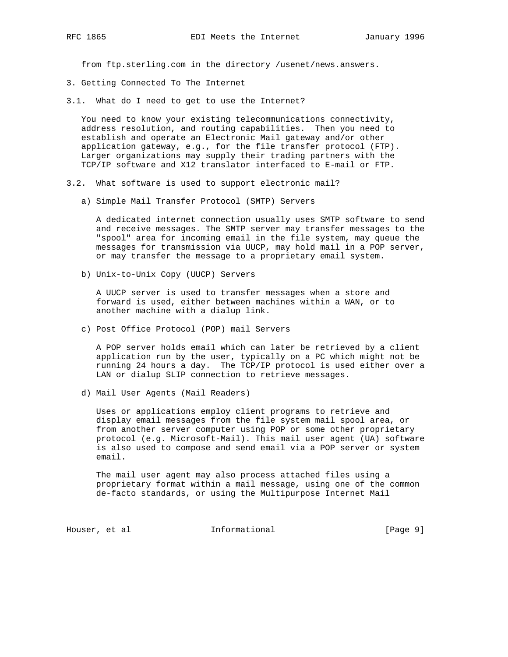from ftp.sterling.com in the directory /usenet/news.answers.

- 3. Getting Connected To The Internet
- 3.1. What do I need to get to use the Internet?

You need to know your existing telecommunications connectivity, address resolution, and routing capabilities. Then you need to establish and operate an Electronic Mail gateway and/or other application gateway, e.g., for the file transfer protocol (FTP). Larger organizations may supply their trading partners with the TCP/IP software and X12 translator interfaced to E-mail or FTP.

- 3.2. What software is used to support electronic mail?
	- a) Simple Mail Transfer Protocol (SMTP) Servers

 A dedicated internet connection usually uses SMTP software to send and receive messages. The SMTP server may transfer messages to the "spool" area for incoming email in the file system, may queue the messages for transmission via UUCP, may hold mail in a POP server, or may transfer the message to a proprietary email system.

b) Unix-to-Unix Copy (UUCP) Servers

 A UUCP server is used to transfer messages when a store and forward is used, either between machines within a WAN, or to another machine with a dialup link.

c) Post Office Protocol (POP) mail Servers

 A POP server holds email which can later be retrieved by a client application run by the user, typically on a PC which might not be running 24 hours a day. The TCP/IP protocol is used either over a LAN or dialup SLIP connection to retrieve messages.

d) Mail User Agents (Mail Readers)

 Uses or applications employ client programs to retrieve and display email messages from the file system mail spool area, or from another server computer using POP or some other proprietary protocol (e.g. Microsoft-Mail). This mail user agent (UA) software is also used to compose and send email via a POP server or system email.

 The mail user agent may also process attached files using a proprietary format within a mail message, using one of the common de-facto standards, or using the Multipurpose Internet Mail

Houser, et al **Informational Informational** [Page 9]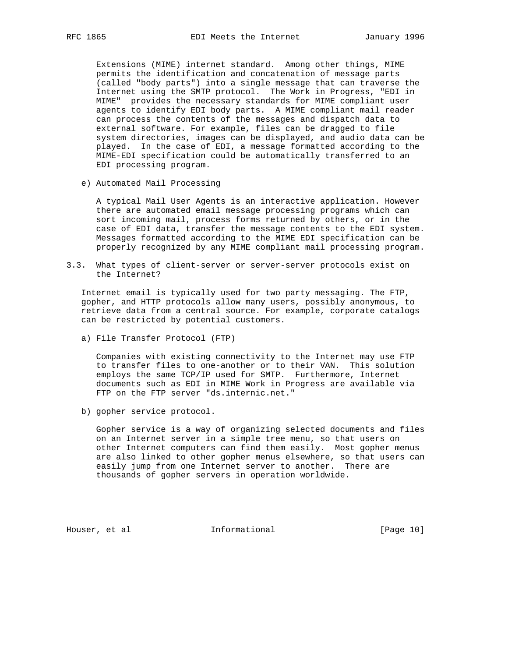Extensions (MIME) internet standard. Among other things, MIME permits the identification and concatenation of message parts (called "body parts") into a single message that can traverse the Internet using the SMTP protocol. The Work in Progress, "EDI in MIME" provides the necessary standards for MIME compliant user agents to identify EDI body parts. A MIME compliant mail reader can process the contents of the messages and dispatch data to external software. For example, files can be dragged to file system directories, images can be displayed, and audio data can be played. In the case of EDI, a message formatted according to the MIME-EDI specification could be automatically transferred to an EDI processing program.

e) Automated Mail Processing

 A typical Mail User Agents is an interactive application. However there are automated email message processing programs which can sort incoming mail, process forms returned by others, or in the case of EDI data, transfer the message contents to the EDI system. Messages formatted according to the MIME EDI specification can be properly recognized by any MIME compliant mail processing program.

3.3. What types of client-server or server-server protocols exist on the Internet?

 Internet email is typically used for two party messaging. The FTP, gopher, and HTTP protocols allow many users, possibly anonymous, to retrieve data from a central source. For example, corporate catalogs can be restricted by potential customers.

a) File Transfer Protocol (FTP)

 Companies with existing connectivity to the Internet may use FTP to transfer files to one-another or to their VAN. This solution employs the same TCP/IP used for SMTP. Furthermore, Internet documents such as EDI in MIME Work in Progress are available via FTP on the FTP server "ds.internic.net."

b) gopher service protocol.

 Gopher service is a way of organizing selected documents and files on an Internet server in a simple tree menu, so that users on other Internet computers can find them easily. Most gopher menus are also linked to other gopher menus elsewhere, so that users can easily jump from one Internet server to another. There are thousands of gopher servers in operation worldwide.

Houser, et al **Informational** [Page 10]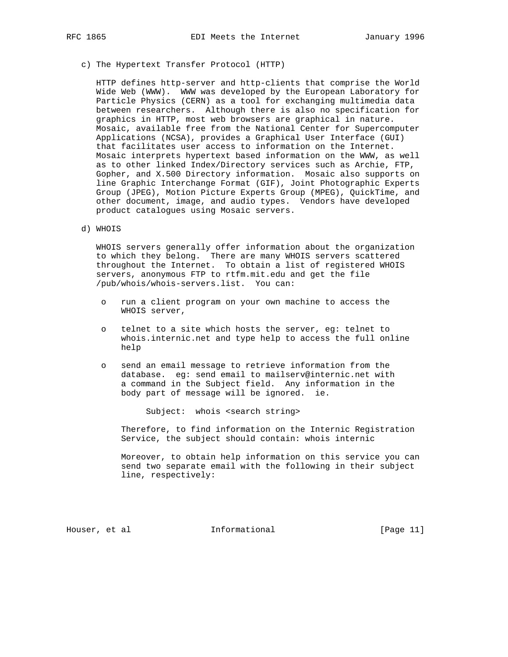c) The Hypertext Transfer Protocol (HTTP)

 HTTP defines http-server and http-clients that comprise the World Wide Web (WWW). WWW was developed by the European Laboratory for Particle Physics (CERN) as a tool for exchanging multimedia data between researchers. Although there is also no specification for graphics in HTTP, most web browsers are graphical in nature. Mosaic, available free from the National Center for Supercomputer Applications (NCSA), provides a Graphical User Interface (GUI) that facilitates user access to information on the Internet. Mosaic interprets hypertext based information on the WWW, as well as to other linked Index/Directory services such as Archie, FTP, Gopher, and X.500 Directory information. Mosaic also supports on line Graphic Interchange Format (GIF), Joint Photographic Experts Group (JPEG), Motion Picture Experts Group (MPEG), QuickTime, and other document, image, and audio types. Vendors have developed product catalogues using Mosaic servers.

d) WHOIS

 WHOIS servers generally offer information about the organization to which they belong. There are many WHOIS servers scattered throughout the Internet. To obtain a list of registered WHOIS servers, anonymous FTP to rtfm.mit.edu and get the file /pub/whois/whois-servers.list. You can:

- o run a client program on your own machine to access the WHOIS server,
- o telnet to a site which hosts the server, eg: telnet to whois.internic.net and type help to access the full online help
- o send an email message to retrieve information from the database. eg: send email to mailserv@internic.net with a command in the Subject field. Any information in the body part of message will be ignored. ie.

Subject: whois <search string>

 Therefore, to find information on the Internic Registration Service, the subject should contain: whois internic

 Moreover, to obtain help information on this service you can send two separate email with the following in their subject line, respectively:

Houser, et al informational [Page 11]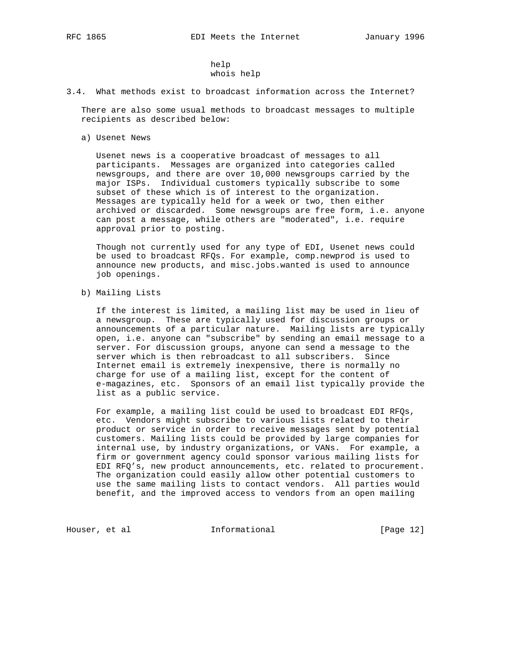help whois help

3.4. What methods exist to broadcast information across the Internet?

 There are also some usual methods to broadcast messages to multiple recipients as described below:

a) Usenet News

 Usenet news is a cooperative broadcast of messages to all participants. Messages are organized into categories called newsgroups, and there are over 10,000 newsgroups carried by the major ISPs. Individual customers typically subscribe to some subset of these which is of interest to the organization. Messages are typically held for a week or two, then either archived or discarded. Some newsgroups are free form, i.e. anyone can post a message, while others are "moderated", i.e. require approval prior to posting.

 Though not currently used for any type of EDI, Usenet news could be used to broadcast RFQs. For example, comp.newprod is used to announce new products, and misc.jobs.wanted is used to announce job openings.

b) Mailing Lists

 If the interest is limited, a mailing list may be used in lieu of a newsgroup. These are typically used for discussion groups or announcements of a particular nature. Mailing lists are typically open, i.e. anyone can "subscribe" by sending an email message to a server. For discussion groups, anyone can send a message to the server which is then rebroadcast to all subscribers. Since Internet email is extremely inexpensive, there is normally no charge for use of a mailing list, except for the content of e-magazines, etc. Sponsors of an email list typically provide the list as a public service.

 For example, a mailing list could be used to broadcast EDI RFQs, etc. Vendors might subscribe to various lists related to their product or service in order to receive messages sent by potential customers. Mailing lists could be provided by large companies for internal use, by industry organizations, or VANs. For example, a firm or government agency could sponsor various mailing lists for EDI RFQ's, new product announcements, etc. related to procurement. The organization could easily allow other potential customers to use the same mailing lists to contact vendors. All parties would benefit, and the improved access to vendors from an open mailing

Houser, et al **Informational Informational** [Page 12]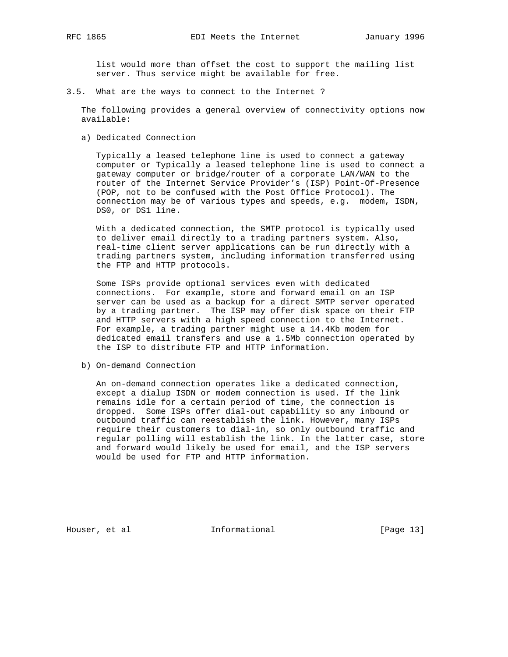list would more than offset the cost to support the mailing list server. Thus service might be available for free.

3.5. What are the ways to connect to the Internet ?

 The following provides a general overview of connectivity options now available:

a) Dedicated Connection

 Typically a leased telephone line is used to connect a gateway computer or Typically a leased telephone line is used to connect a gateway computer or bridge/router of a corporate LAN/WAN to the router of the Internet Service Provider's (ISP) Point-Of-Presence (POP, not to be confused with the Post Office Protocol). The connection may be of various types and speeds, e.g. modem, ISDN, DS0, or DS1 line.

 With a dedicated connection, the SMTP protocol is typically used to deliver email directly to a trading partners system. Also, real-time client server applications can be run directly with a trading partners system, including information transferred using the FTP and HTTP protocols.

 Some ISPs provide optional services even with dedicated connections. For example, store and forward email on an ISP server can be used as a backup for a direct SMTP server operated by a trading partner. The ISP may offer disk space on their FTP and HTTP servers with a high speed connection to the Internet. For example, a trading partner might use a 14.4Kb modem for dedicated email transfers and use a 1.5Mb connection operated by the ISP to distribute FTP and HTTP information.

b) On-demand Connection

 An on-demand connection operates like a dedicated connection, except a dialup ISDN or modem connection is used. If the link remains idle for a certain period of time, the connection is dropped. Some ISPs offer dial-out capability so any inbound or outbound traffic can reestablish the link. However, many ISPs require their customers to dial-in, so only outbound traffic and regular polling will establish the link. In the latter case, store and forward would likely be used for email, and the ISP servers would be used for FTP and HTTP information.

Houser, et al **Informational** [Page 13]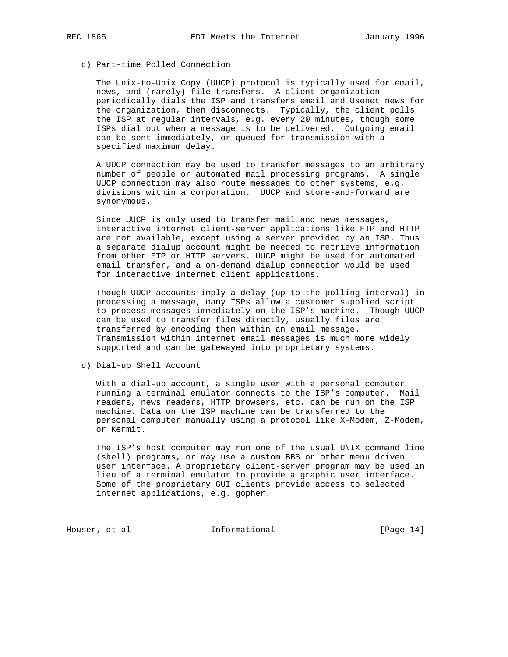## c) Part-time Polled Connection

 The Unix-to-Unix Copy (UUCP) protocol is typically used for email, news, and (rarely) file transfers. A client organization periodically dials the ISP and transfers email and Usenet news for the organization, then disconnects. Typically, the client polls the ISP at regular intervals, e.g. every 20 minutes, though some ISPs dial out when a message is to be delivered. Outgoing email can be sent immediately, or queued for transmission with a specified maximum delay.

 A UUCP connection may be used to transfer messages to an arbitrary number of people or automated mail processing programs. A single UUCP connection may also route messages to other systems, e.g. divisions within a corporation. UUCP and store-and-forward are synonymous.

 Since UUCP is only used to transfer mail and news messages, interactive internet client-server applications like FTP and HTTP are not available, except using a server provided by an ISP. Thus a separate dialup account might be needed to retrieve information from other FTP or HTTP servers. UUCP might be used for automated email transfer, and a on-demand dialup connection would be used for interactive internet client applications.

 Though UUCP accounts imply a delay (up to the polling interval) in processing a message, many ISPs allow a customer supplied script to process messages immediately on the ISP's machine. Though UUCP can be used to transfer files directly, usually files are transferred by encoding them within an email message. Transmission within internet email messages is much more widely supported and can be gatewayed into proprietary systems.

d) Dial-up Shell Account

 With a dial-up account, a single user with a personal computer running a terminal emulator connects to the ISP's computer. Mail readers, news readers, HTTP browsers, etc. can be run on the ISP machine. Data on the ISP machine can be transferred to the personal computer manually using a protocol like X-Modem, Z-Modem, or Kermit.

 The ISP's host computer may run one of the usual UNIX command line (shell) programs, or may use a custom BBS or other menu driven user interface. A proprietary client-server program may be used in lieu of a terminal emulator to provide a graphic user interface. Some of the proprietary GUI clients provide access to selected internet applications, e.g. gopher.

Houser, et al **Informational Informational** [Page 14]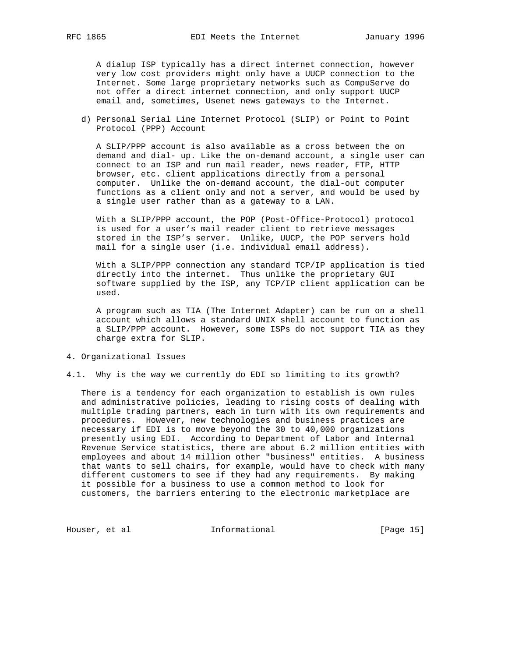A dialup ISP typically has a direct internet connection, however very low cost providers might only have a UUCP connection to the Internet. Some large proprietary networks such as CompuServe do not offer a direct internet connection, and only support UUCP email and, sometimes, Usenet news gateways to the Internet.

 d) Personal Serial Line Internet Protocol (SLIP) or Point to Point Protocol (PPP) Account

 A SLIP/PPP account is also available as a cross between the on demand and dial- up. Like the on-demand account, a single user can connect to an ISP and run mail reader, news reader, FTP, HTTP browser, etc. client applications directly from a personal computer. Unlike the on-demand account, the dial-out computer functions as a client only and not a server, and would be used by a single user rather than as a gateway to a LAN.

 With a SLIP/PPP account, the POP (Post-Office-Protocol) protocol is used for a user's mail reader client to retrieve messages stored in the ISP's server. Unlike, UUCP, the POP servers hold mail for a single user (i.e. individual email address).

 With a SLIP/PPP connection any standard TCP/IP application is tied directly into the internet. Thus unlike the proprietary GUI software supplied by the ISP, any TCP/IP client application can be used.

 A program such as TIA (The Internet Adapter) can be run on a shell account which allows a standard UNIX shell account to function as a SLIP/PPP account. However, some ISPs do not support TIA as they charge extra for SLIP.

- 4. Organizational Issues
- 4.1. Why is the way we currently do EDI so limiting to its growth?

 There is a tendency for each organization to establish is own rules and administrative policies, leading to rising costs of dealing with multiple trading partners, each in turn with its own requirements and procedures. However, new technologies and business practices are necessary if EDI is to move beyond the 30 to 40,000 organizations presently using EDI. According to Department of Labor and Internal Revenue Service statistics, there are about 6.2 million entities with employees and about 14 million other "business" entities. A business that wants to sell chairs, for example, would have to check with many different customers to see if they had any requirements. By making it possible for a business to use a common method to look for customers, the barriers entering to the electronic marketplace are

Houser, et al **Informational Informational** [Page 15]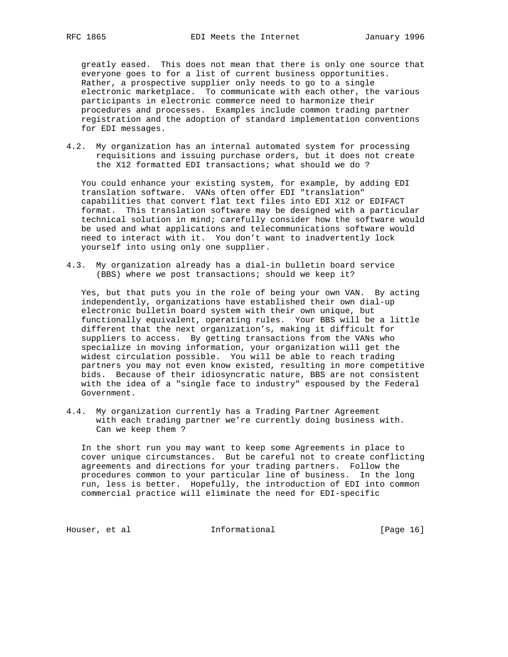greatly eased. This does not mean that there is only one source that everyone goes to for a list of current business opportunities. Rather, a prospective supplier only needs to go to a single electronic marketplace. To communicate with each other, the various participants in electronic commerce need to harmonize their procedures and processes. Examples include common trading partner registration and the adoption of standard implementation conventions for EDI messages.

4.2. My organization has an internal automated system for processing requisitions and issuing purchase orders, but it does not create the X12 formatted EDI transactions; what should we do ?

 You could enhance your existing system, for example, by adding EDI translation software. VANs often offer EDI "translation" capabilities that convert flat text files into EDI X12 or EDIFACT format. This translation software may be designed with a particular technical solution in mind; carefully consider how the software would be used and what applications and telecommunications software would need to interact with it. You don't want to inadvertently lock yourself into using only one supplier.

4.3. My organization already has a dial-in bulletin board service (BBS) where we post transactions; should we keep it?

 Yes, but that puts you in the role of being your own VAN. By acting independently, organizations have established their own dial-up electronic bulletin board system with their own unique, but functionally equivalent, operating rules. Your BBS will be a little different that the next organization's, making it difficult for suppliers to access. By getting transactions from the VANs who specialize in moving information, your organization will get the widest circulation possible. You will be able to reach trading partners you may not even know existed, resulting in more competitive bids. Because of their idiosyncratic nature, BBS are not consistent with the idea of a "single face to industry" espoused by the Federal Government.

4.4. My organization currently has a Trading Partner Agreement with each trading partner we're currently doing business with. Can we keep them ?

 In the short run you may want to keep some Agreements in place to cover unique circumstances. But be careful not to create conflicting agreements and directions for your trading partners. Follow the procedures common to your particular line of business. In the long run, less is better. Hopefully, the introduction of EDI into common commercial practice will eliminate the need for EDI-specific

Houser, et al **Informational** [Page 16]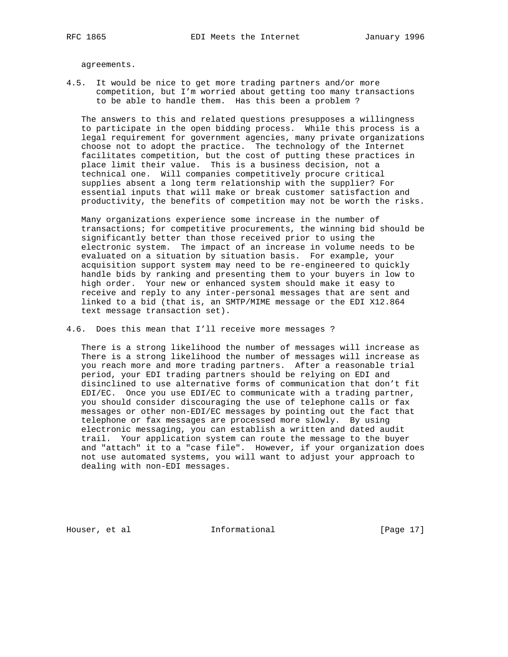agreements.

4.5. It would be nice to get more trading partners and/or more competition, but I'm worried about getting too many transactions to be able to handle them. Has this been a problem ?

 The answers to this and related questions presupposes a willingness to participate in the open bidding process. While this process is a legal requirement for government agencies, many private organizations choose not to adopt the practice. The technology of the Internet facilitates competition, but the cost of putting these practices in place limit their value. This is a business decision, not a technical one. Will companies competitively procure critical supplies absent a long term relationship with the supplier? For essential inputs that will make or break customer satisfaction and productivity, the benefits of competition may not be worth the risks.

 Many organizations experience some increase in the number of transactions; for competitive procurements, the winning bid should be significantly better than those received prior to using the electronic system. The impact of an increase in volume needs to be evaluated on a situation by situation basis. For example, your acquisition support system may need to be re-engineered to quickly handle bids by ranking and presenting them to your buyers in low to high order. Your new or enhanced system should make it easy to receive and reply to any inter-personal messages that are sent and linked to a bid (that is, an SMTP/MIME message or the EDI X12.864 text message transaction set).

4.6. Does this mean that I'll receive more messages ?

 There is a strong likelihood the number of messages will increase as There is a strong likelihood the number of messages will increase as you reach more and more trading partners. After a reasonable trial period, your EDI trading partners should be relying on EDI and disinclined to use alternative forms of communication that don't fit EDI/EC. Once you use EDI/EC to communicate with a trading partner, you should consider discouraging the use of telephone calls or fax messages or other non-EDI/EC messages by pointing out the fact that telephone or fax messages are processed more slowly. By using electronic messaging, you can establish a written and dated audit trail. Your application system can route the message to the buyer and "attach" it to a "case file". However, if your organization does not use automated systems, you will want to adjust your approach to dealing with non-EDI messages.

Houser, et al **Informational** [Page 17]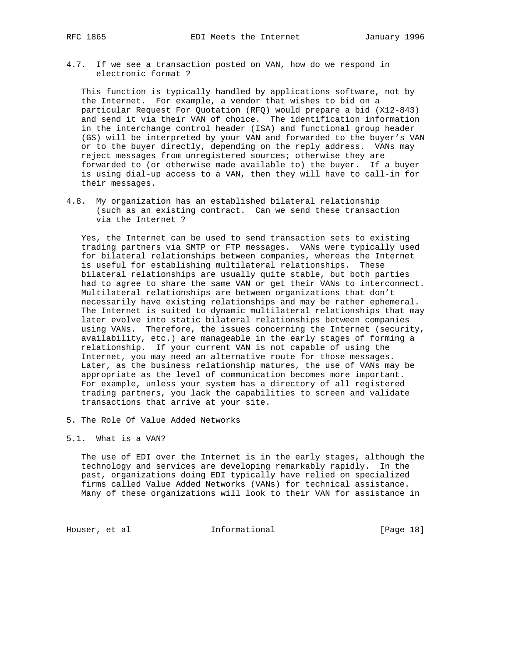4.7. If we see a transaction posted on VAN, how do we respond in electronic format ?

 This function is typically handled by applications software, not by the Internet. For example, a vendor that wishes to bid on a particular Request For Quotation (RFQ) would prepare a bid (X12-843) and send it via their VAN of choice. The identification information in the interchange control header (ISA) and functional group header (GS) will be interpreted by your VAN and forwarded to the buyer's VAN or to the buyer directly, depending on the reply address. VANs may reject messages from unregistered sources; otherwise they are forwarded to (or otherwise made available to) the buyer. If a buyer is using dial-up access to a VAN, then they will have to call-in for their messages.

4.8. My organization has an established bilateral relationship (such as an existing contract. Can we send these transaction via the Internet ?

 Yes, the Internet can be used to send transaction sets to existing trading partners via SMTP or FTP messages. VANs were typically used for bilateral relationships between companies, whereas the Internet is useful for establishing multilateral relationships. These bilateral relationships are usually quite stable, but both parties had to agree to share the same VAN or get their VANs to interconnect. Multilateral relationships are between organizations that don't necessarily have existing relationships and may be rather ephemeral. The Internet is suited to dynamic multilateral relationships that may later evolve into static bilateral relationships between companies using VANs. Therefore, the issues concerning the Internet (security, availability, etc.) are manageable in the early stages of forming a relationship. If your current VAN is not capable of using the Internet, you may need an alternative route for those messages. Later, as the business relationship matures, the use of VANs may be appropriate as the level of communication becomes more important. For example, unless your system has a directory of all registered trading partners, you lack the capabilities to screen and validate transactions that arrive at your site.

5. The Role Of Value Added Networks

## 5.1. What is a VAN?

 The use of EDI over the Internet is in the early stages, although the technology and services are developing remarkably rapidly. In the past, organizations doing EDI typically have relied on specialized firms called Value Added Networks (VANs) for technical assistance. Many of these organizations will look to their VAN for assistance in

Houser, et al **Informational** [Page 18]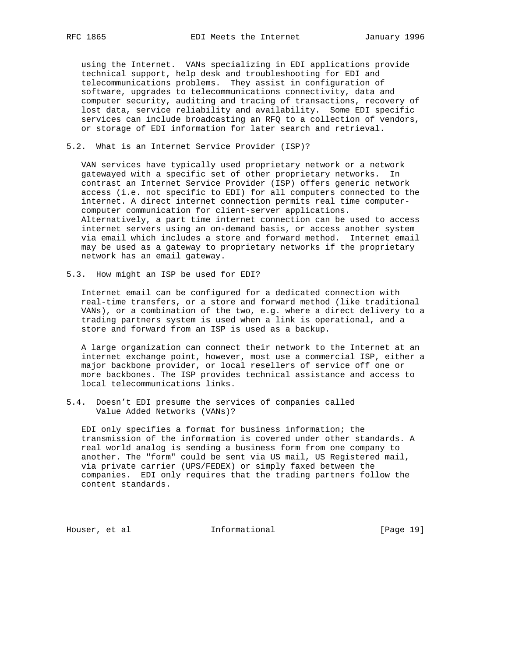using the Internet. VANs specializing in EDI applications provide technical support, help desk and troubleshooting for EDI and telecommunications problems. They assist in configuration of software, upgrades to telecommunications connectivity, data and computer security, auditing and tracing of transactions, recovery of lost data, service reliability and availability. Some EDI specific services can include broadcasting an RFQ to a collection of vendors, or storage of EDI information for later search and retrieval.

### 5.2. What is an Internet Service Provider (ISP)?

 VAN services have typically used proprietary network or a network gatewayed with a specific set of other proprietary networks. In contrast an Internet Service Provider (ISP) offers generic network access (i.e. not specific to EDI) for all computers connected to the internet. A direct internet connection permits real time computer computer communication for client-server applications. Alternatively, a part time internet connection can be used to access internet servers using an on-demand basis, or access another system via email which includes a store and forward method. Internet email may be used as a gateway to proprietary networks if the proprietary network has an email gateway.

5.3. How might an ISP be used for EDI?

 Internet email can be configured for a dedicated connection with real-time transfers, or a store and forward method (like traditional VANs), or a combination of the two, e.g. where a direct delivery to a trading partners system is used when a link is operational, and a store and forward from an ISP is used as a backup.

 A large organization can connect their network to the Internet at an internet exchange point, however, most use a commercial ISP, either a major backbone provider, or local resellers of service off one or more backbones. The ISP provides technical assistance and access to local telecommunications links.

5.4. Doesn't EDI presume the services of companies called Value Added Networks (VANs)?

 EDI only specifies a format for business information; the transmission of the information is covered under other standards. A real world analog is sending a business form from one company to another. The "form" could be sent via US mail, US Registered mail, via private carrier (UPS/FEDEX) or simply faxed between the companies. EDI only requires that the trading partners follow the content standards.

Houser, et al **Informational** [Page 19]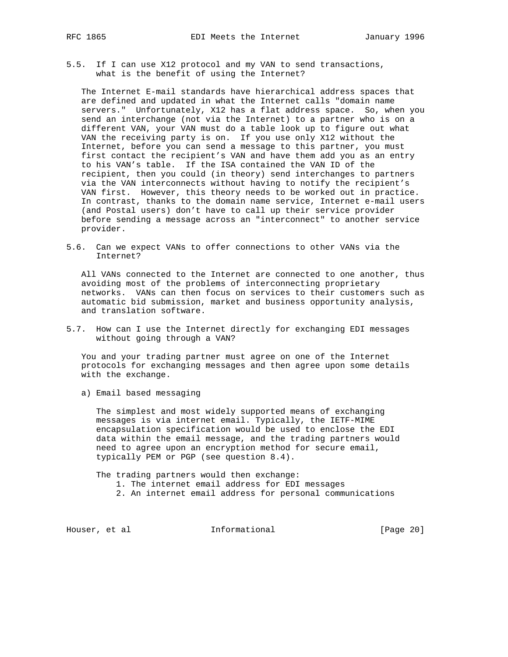5.5. If I can use X12 protocol and my VAN to send transactions, what is the benefit of using the Internet?

 The Internet E-mail standards have hierarchical address spaces that are defined and updated in what the Internet calls "domain name servers." Unfortunately, X12 has a flat address space. So, when you send an interchange (not via the Internet) to a partner who is on a different VAN, your VAN must do a table look up to figure out what VAN the receiving party is on. If you use only X12 without the Internet, before you can send a message to this partner, you must first contact the recipient's VAN and have them add you as an entry to his VAN's table. If the ISA contained the VAN ID of the recipient, then you could (in theory) send interchanges to partners via the VAN interconnects without having to notify the recipient's VAN first. However, this theory needs to be worked out in practice. In contrast, thanks to the domain name service, Internet e-mail users (and Postal users) don't have to call up their service provider before sending a message across an "interconnect" to another service provider.

5.6. Can we expect VANs to offer connections to other VANs via the Internet?

 All VANs connected to the Internet are connected to one another, thus avoiding most of the problems of interconnecting proprietary networks. VANs can then focus on services to their customers such as automatic bid submission, market and business opportunity analysis, and translation software.

5.7. How can I use the Internet directly for exchanging EDI messages without going through a VAN?

 You and your trading partner must agree on one of the Internet protocols for exchanging messages and then agree upon some details with the exchange.

a) Email based messaging

 The simplest and most widely supported means of exchanging messages is via internet email. Typically, the IETF-MIME encapsulation specification would be used to enclose the EDI data within the email message, and the trading partners would need to agree upon an encryption method for secure email, typically PEM or PGP (see question 8.4).

 The trading partners would then exchange: 1. The internet email address for EDI messages 2. An internet email address for personal communications

Houser, et al **Informational** [Page 20]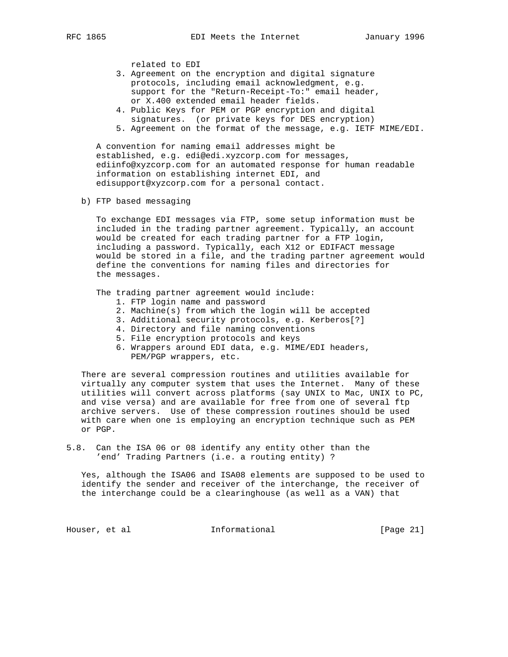related to EDI

- 3. Agreement on the encryption and digital signature protocols, including email acknowledgment, e.g. support for the "Return-Receipt-To:" email header, or X.400 extended email header fields.
- 4. Public Keys for PEM or PGP encryption and digital signatures. (or private keys for DES encryption)
- 5. Agreement on the format of the message, e.g. IETF MIME/EDI.

 A convention for naming email addresses might be established, e.g. edi@edi.xyzcorp.com for messages, ediinfo@xyzcorp.com for an automated response for human readable information on establishing internet EDI, and edisupport@xyzcorp.com for a personal contact.

b) FTP based messaging

 To exchange EDI messages via FTP, some setup information must be included in the trading partner agreement. Typically, an account would be created for each trading partner for a FTP login, including a password. Typically, each X12 or EDIFACT message would be stored in a file, and the trading partner agreement would define the conventions for naming files and directories for the messages.

The trading partner agreement would include:

- 1. FTP login name and password
- 2. Machine(s) from which the login will be accepted
- 3. Additional security protocols, e.g. Kerberos[?]
- 4. Directory and file naming conventions
- 5. File encryption protocols and keys
- 6. Wrappers around EDI data, e.g. MIME/EDI headers, PEM/PGP wrappers, etc.

 There are several compression routines and utilities available for virtually any computer system that uses the Internet. Many of these utilities will convert across platforms (say UNIX to Mac, UNIX to PC, and vise versa) and are available for free from one of several ftp archive servers. Use of these compression routines should be used with care when one is employing an encryption technique such as PEM or PGP.

5.8. Can the ISA 06 or 08 identify any entity other than the 'end' Trading Partners (i.e. a routing entity) ?

 Yes, although the ISA06 and ISA08 elements are supposed to be used to identify the sender and receiver of the interchange, the receiver of the interchange could be a clearinghouse (as well as a VAN) that

Houser, et al **Informational** [Page 21]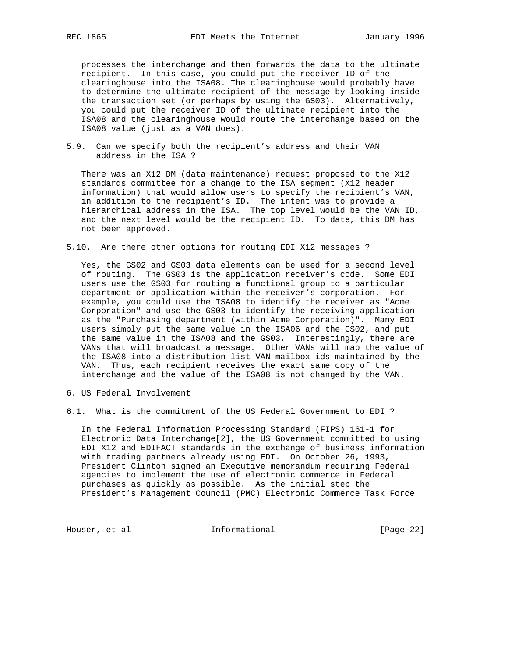processes the interchange and then forwards the data to the ultimate recipient. In this case, you could put the receiver ID of the clearinghouse into the ISA08. The clearinghouse would probably have to determine the ultimate recipient of the message by looking inside the transaction set (or perhaps by using the GS03). Alternatively, you could put the receiver ID of the ultimate recipient into the ISA08 and the clearinghouse would route the interchange based on the ISA08 value (just as a VAN does).

5.9. Can we specify both the recipient's address and their VAN address in the ISA ?

 There was an X12 DM (data maintenance) request proposed to the X12 standards committee for a change to the ISA segment (X12 header information) that would allow users to specify the recipient's VAN, in addition to the recipient's ID. The intent was to provide a hierarchical address in the ISA. The top level would be the VAN ID, and the next level would be the recipient ID. To date, this DM has not been approved.

5.10. Are there other options for routing EDI X12 messages ?

 Yes, the GS02 and GS03 data elements can be used for a second level of routing. The GS03 is the application receiver's code. Some EDI users use the GS03 for routing a functional group to a particular department or application within the receiver's corporation. For example, you could use the ISA08 to identify the receiver as "Acme Corporation" and use the GS03 to identify the receiving application as the "Purchasing department (within Acme Corporation)". Many EDI users simply put the same value in the ISA06 and the GS02, and put the same value in the ISA08 and the GS03. Interestingly, there are VANs that will broadcast a message. Other VANs will map the value of the ISA08 into a distribution list VAN mailbox ids maintained by the VAN. Thus, each recipient receives the exact same copy of the interchange and the value of the ISA08 is not changed by the VAN.

- 6. US Federal Involvement
- 6.1. What is the commitment of the US Federal Government to EDI ?

 In the Federal Information Processing Standard (FIPS) 161-1 for Electronic Data Interchange[2], the US Government committed to using EDI X12 and EDIFACT standards in the exchange of business information with trading partners already using EDI. On October 26, 1993, President Clinton signed an Executive memorandum requiring Federal agencies to implement the use of electronic commerce in Federal purchases as quickly as possible. As the initial step the President's Management Council (PMC) Electronic Commerce Task Force

Houser, et al informational informational [Page 22]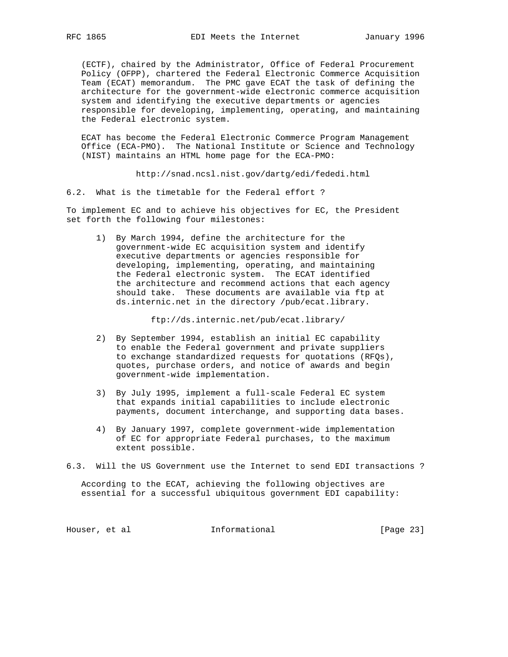(ECTF), chaired by the Administrator, Office of Federal Procurement Policy (OFPP), chartered the Federal Electronic Commerce Acquisition Team (ECAT) memorandum. The PMC gave ECAT the task of defining the architecture for the government-wide electronic commerce acquisition system and identifying the executive departments or agencies responsible for developing, implementing, operating, and maintaining the Federal electronic system.

 ECAT has become the Federal Electronic Commerce Program Management Office (ECA-PMO). The National Institute or Science and Technology (NIST) maintains an HTML home page for the ECA-PMO:

http://snad.ncsl.nist.gov/dartg/edi/fededi.html

6.2. What is the timetable for the Federal effort ?

To implement EC and to achieve his objectives for EC, the President set forth the following four milestones:

 1) By March 1994, define the architecture for the government-wide EC acquisition system and identify executive departments or agencies responsible for developing, implementing, operating, and maintaining the Federal electronic system. The ECAT identified the architecture and recommend actions that each agency should take. These documents are available via ftp at ds.internic.net in the directory /pub/ecat.library.

ftp://ds.internic.net/pub/ecat.library/

- 2) By September 1994, establish an initial EC capability to enable the Federal government and private suppliers to exchange standardized requests for quotations (RFQs), quotes, purchase orders, and notice of awards and begin government-wide implementation.
- 3) By July 1995, implement a full-scale Federal EC system that expands initial capabilities to include electronic payments, document interchange, and supporting data bases.
- 4) By January 1997, complete government-wide implementation of EC for appropriate Federal purchases, to the maximum extent possible.
- 6.3. Will the US Government use the Internet to send EDI transactions ?

 According to the ECAT, achieving the following objectives are essential for a successful ubiquitous government EDI capability:

Houser, et al **Informational** [Page 23]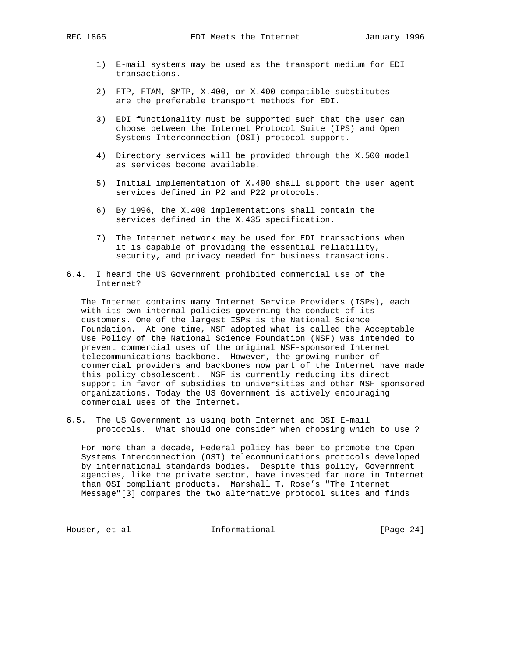- 1) E-mail systems may be used as the transport medium for EDI transactions.
- 2) FTP, FTAM, SMTP, X.400, or X.400 compatible substitutes are the preferable transport methods for EDI.
- 3) EDI functionality must be supported such that the user can choose between the Internet Protocol Suite (IPS) and Open Systems Interconnection (OSI) protocol support.
- 4) Directory services will be provided through the X.500 model as services become available.
- 5) Initial implementation of X.400 shall support the user agent services defined in P2 and P22 protocols.
- 6) By 1996, the X.400 implementations shall contain the services defined in the X.435 specification.
- 7) The Internet network may be used for EDI transactions when it is capable of providing the essential reliability, security, and privacy needed for business transactions.
- 6.4. I heard the US Government prohibited commercial use of the Internet?

 The Internet contains many Internet Service Providers (ISPs), each with its own internal policies governing the conduct of its customers. One of the largest ISPs is the National Science Foundation. At one time, NSF adopted what is called the Acceptable Use Policy of the National Science Foundation (NSF) was intended to prevent commercial uses of the original NSF-sponsored Internet telecommunications backbone. However, the growing number of commercial providers and backbones now part of the Internet have made this policy obsolescent. NSF is currently reducing its direct support in favor of subsidies to universities and other NSF sponsored organizations. Today the US Government is actively encouraging commercial uses of the Internet.

6.5. The US Government is using both Internet and OSI E-mail protocols. What should one consider when choosing which to use ?

 For more than a decade, Federal policy has been to promote the Open Systems Interconnection (OSI) telecommunications protocols developed by international standards bodies. Despite this policy, Government agencies, like the private sector, have invested far more in Internet than OSI compliant products. Marshall T. Rose's "The Internet Message"[3] compares the two alternative protocol suites and finds

Houser, et al **Informational** [Page 24]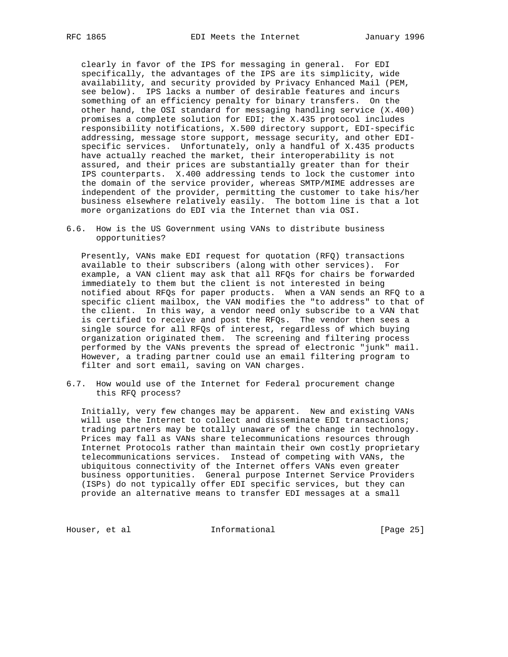clearly in favor of the IPS for messaging in general. For EDI specifically, the advantages of the IPS are its simplicity, wide availability, and security provided by Privacy Enhanced Mail (PEM, see below). IPS lacks a number of desirable features and incurs something of an efficiency penalty for binary transfers. On the other hand, the OSI standard for messaging handling service (X.400) promises a complete solution for EDI; the X.435 protocol includes responsibility notifications, X.500 directory support, EDI-specific addressing, message store support, message security, and other EDI specific services. Unfortunately, only a handful of X.435 products have actually reached the market, their interoperability is not assured, and their prices are substantially greater than for their IPS counterparts. X.400 addressing tends to lock the customer into the domain of the service provider, whereas SMTP/MIME addresses are independent of the provider, permitting the customer to take his/her business elsewhere relatively easily. The bottom line is that a lot more organizations do EDI via the Internet than via OSI.

6.6. How is the US Government using VANs to distribute business opportunities?

 Presently, VANs make EDI request for quotation (RFQ) transactions available to their subscribers (along with other services). For example, a VAN client may ask that all RFQs for chairs be forwarded immediately to them but the client is not interested in being notified about RFQs for paper products. When a VAN sends an RFQ to a specific client mailbox, the VAN modifies the "to address" to that of the client. In this way, a vendor need only subscribe to a VAN that is certified to receive and post the RFQs. The vendor then sees a single source for all RFQs of interest, regardless of which buying organization originated them. The screening and filtering process performed by the VANs prevents the spread of electronic "junk" mail. However, a trading partner could use an email filtering program to filter and sort email, saving on VAN charges.

6.7. How would use of the Internet for Federal procurement change this RFQ process?

 Initially, very few changes may be apparent. New and existing VANs will use the Internet to collect and disseminate EDI transactions; trading partners may be totally unaware of the change in technology. Prices may fall as VANs share telecommunications resources through Internet Protocols rather than maintain their own costly proprietary telecommunications services. Instead of competing with VANs, the ubiquitous connectivity of the Internet offers VANs even greater business opportunities. General purpose Internet Service Providers (ISPs) do not typically offer EDI specific services, but they can provide an alternative means to transfer EDI messages at a small

Houser, et al **Informational Informational** [Page 25]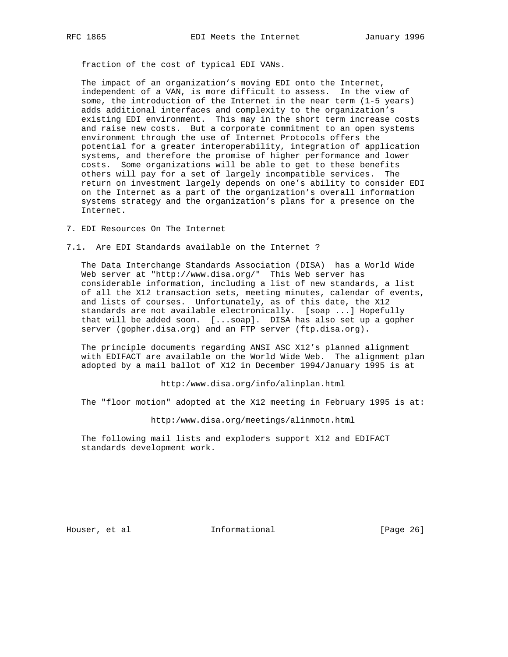fraction of the cost of typical EDI VANs.

 The impact of an organization's moving EDI onto the Internet, independent of a VAN, is more difficult to assess. In the view of some, the introduction of the Internet in the near term (1-5 years) adds additional interfaces and complexity to the organization's existing EDI environment. This may in the short term increase costs and raise new costs. But a corporate commitment to an open systems environment through the use of Internet Protocols offers the potential for a greater interoperability, integration of application systems, and therefore the promise of higher performance and lower costs. Some organizations will be able to get to these benefits others will pay for a set of largely incompatible services. The return on investment largely depends on one's ability to consider EDI on the Internet as a part of the organization's overall information systems strategy and the organization's plans for a presence on the Internet.

7. EDI Resources On The Internet

7.1. Are EDI Standards available on the Internet ?

 The Data Interchange Standards Association (DISA) has a World Wide Web server at "http://www.disa.org/" This Web server has considerable information, including a list of new standards, a list of all the X12 transaction sets, meeting minutes, calendar of events, and lists of courses. Unfortunately, as of this date, the X12 standards are not available electronically. [soap ...] Hopefully that will be added soon. [...soap]. DISA has also set up a gopher server (gopher.disa.org) and an FTP server (ftp.disa.org).

 The principle documents regarding ANSI ASC X12's planned alignment with EDIFACT are available on the World Wide Web. The alignment plan adopted by a mail ballot of X12 in December 1994/January 1995 is at

http:/www.disa.org/info/alinplan.html

The "floor motion" adopted at the X12 meeting in February 1995 is at:

http:/www.disa.org/meetings/alinmotn.html

 The following mail lists and exploders support X12 and EDIFACT standards development work.

Houser, et al **Informational** [Page 26]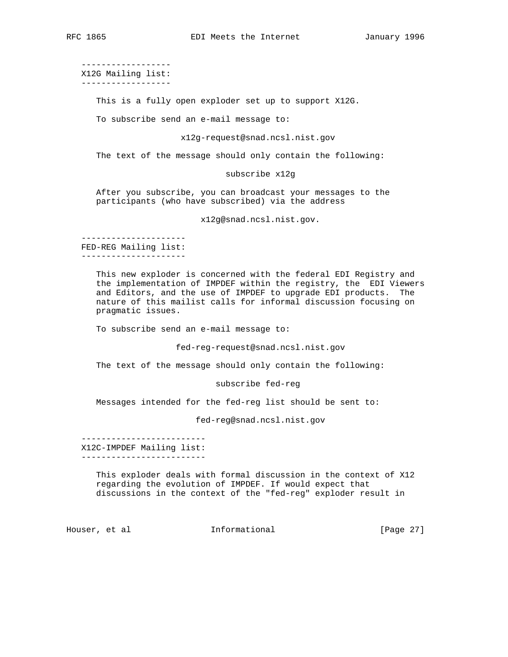------------------ X12G Mailing list:

------------------

This is a fully open exploder set up to support X12G.

To subscribe send an e-mail message to:

x12g-request@snad.ncsl.nist.gov

The text of the message should only contain the following:

subscribe x12g

 After you subscribe, you can broadcast your messages to the participants (who have subscribed) via the address

x12g@snad.ncsl.nist.gov.

 --------------------- FED-REG Mailing list: ---------------------

> This new exploder is concerned with the federal EDI Registry and the implementation of IMPDEF within the registry, the EDI Viewers and Editors, and the use of IMPDEF to upgrade EDI products. The nature of this mailist calls for informal discussion focusing on pragmatic issues.

To subscribe send an e-mail message to:

fed-reg-request@snad.ncsl.nist.gov

The text of the message should only contain the following:

subscribe fed-reg

Messages intended for the fed-reg list should be sent to:

fed-reg@snad.ncsl.nist.gov

 ------------------------- X12C-IMPDEF Mailing list: -------------------------

> This exploder deals with formal discussion in the context of X12 regarding the evolution of IMPDEF. If would expect that discussions in the context of the "fed-reg" exploder result in

Houser, et al **Informational** [Page 27]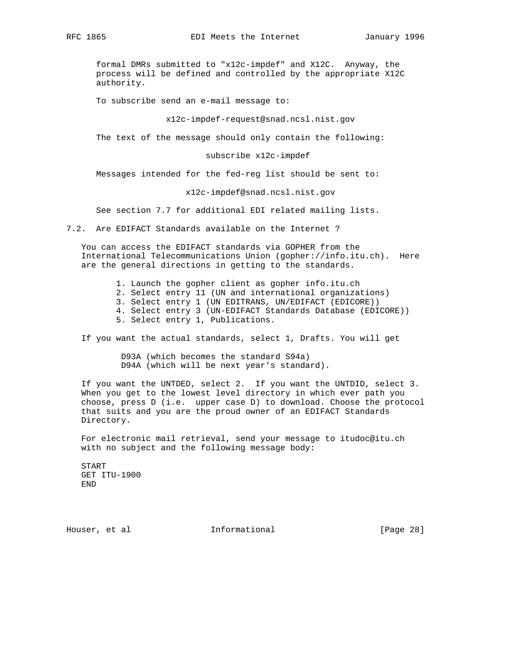formal DMRs submitted to "x12c-impdef" and X12C. Anyway, the process will be defined and controlled by the appropriate X12C authority.

To subscribe send an e-mail message to:

x12c-impdef-request@snad.ncsl.nist.gov

The text of the message should only contain the following:

subscribe x12c-impdef

Messages intended for the fed-reg list should be sent to:

x12c-impdef@snad.ncsl.nist.gov

See section 7.7 for additional EDI related mailing lists.

7.2. Are EDIFACT Standards available on the Internet ?

 You can access the EDIFACT standards via GOPHER from the International Telecommunications Union (gopher://info.itu.ch). Here are the general directions in getting to the standards.

 1. Launch the gopher client as gopher info.itu.ch 2. Select entry 11 (UN and international organizations) 3. Select entry 1 (UN EDITRANS, UN/EDIFACT (EDICORE)) 4. Select entry 3 (UN-EDIFACT Standards Database (EDICORE)) 5. Select entry 1, Publications.

If you want the actual standards, select 1, Drafts. You will get

 D93A (which becomes the standard S94a) D94A (which will be next year's standard).

 If you want the UNTDED, select 2. If you want the UNTDID, select 3. When you get to the lowest level directory in which ever path you choose, press D (i.e. upper case D) to download. Choose the protocol that suits and you are the proud owner of an EDIFACT Standards Directory.

 For electronic mail retrieval, send your message to itudoc@itu.ch with no subject and the following message body:

 START GET ITU-1900 END

Houser, et al **Informational** [Page 28]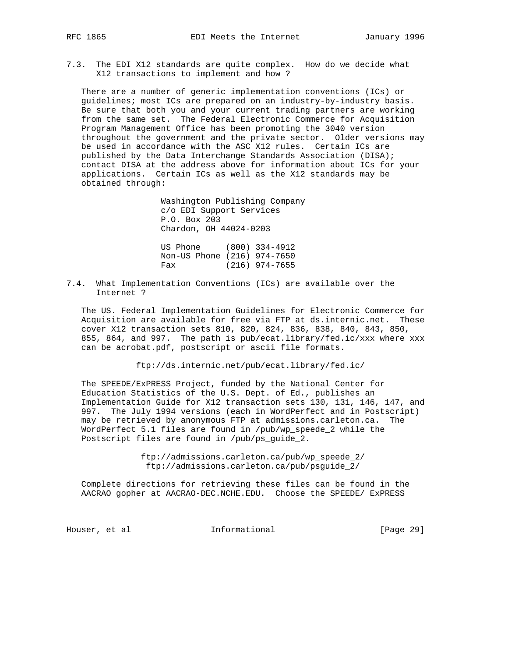- 
- 7.3. The EDI X12 standards are quite complex. How do we decide what X12 transactions to implement and how ?

 There are a number of generic implementation conventions (ICs) or guidelines; most ICs are prepared on an industry-by-industry basis. Be sure that both you and your current trading partners are working from the same set. The Federal Electronic Commerce for Acquisition Program Management Office has been promoting the 3040 version throughout the government and the private sector. Older versions may be used in accordance with the ASC X12 rules. Certain ICs are published by the Data Interchange Standards Association (DISA); contact DISA at the address above for information about ICs for your applications. Certain ICs as well as the X12 standards may be obtained through:

> Washington Publishing Company c/o EDI Support Services P.O. Box 203 Chardon, OH 44024-0203

 US Phone (800) 334-4912 Non-US Phone (216) 974-7650 Fax (216) 974-7655

7.4. What Implementation Conventions (ICs) are available over the Internet ?

 The US. Federal Implementation Guidelines for Electronic Commerce for Acquisition are available for free via FTP at ds.internic.net. These cover X12 transaction sets 810, 820, 824, 836, 838, 840, 843, 850, 855, 864, and 997. The path is pub/ecat.library/fed.ic/xxx where xxx can be acrobat.pdf, postscript or ascii file formats.

ftp://ds.internic.net/pub/ecat.library/fed.ic/

 The SPEEDE/ExPRESS Project, funded by the National Center for Education Statistics of the U.S. Dept. of Ed., publishes an Implementation Guide for X12 transaction sets 130, 131, 146, 147, and 997. The July 1994 versions (each in WordPerfect and in Postscript) may be retrieved by anonymous FTP at admissions.carleton.ca. The WordPerfect 5.1 files are found in /pub/wp\_speede\_2 while the Postscript files are found in /pub/ps\_guide\_2.

> ftp://admissions.carleton.ca/pub/wp\_speede\_2/ ftp://admissions.carleton.ca/pub/psguide\_2/

 Complete directions for retrieving these files can be found in the AACRAO gopher at AACRAO-DEC.NCHE.EDU. Choose the SPEEDE/ ExPRESS

Houser, et al **Informational** [Page 29]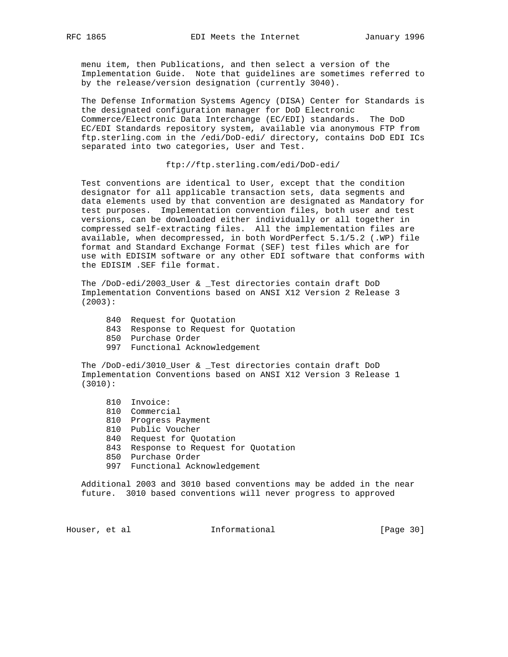menu item, then Publications, and then select a version of the Implementation Guide. Note that guidelines are sometimes referred to by the release/version designation (currently 3040).

 The Defense Information Systems Agency (DISA) Center for Standards is the designated configuration manager for DoD Electronic Commerce/Electronic Data Interchange (EC/EDI) standards. The DoD EC/EDI Standards repository system, available via anonymous FTP from ftp.sterling.com in the /edi/DoD-edi/ directory, contains DoD EDI ICs separated into two categories, User and Test.

ftp://ftp.sterling.com/edi/DoD-edi/

 Test conventions are identical to User, except that the condition designator for all applicable transaction sets, data segments and data elements used by that convention are designated as Mandatory for test purposes. Implementation convention files, both user and test versions, can be downloaded either individually or all together in compressed self-extracting files. All the implementation files are available, when decompressed, in both WordPerfect 5.1/5.2 (.WP) file format and Standard Exchange Format (SEF) test files which are for use with EDISIM software or any other EDI software that conforms with the EDISIM .SEF file format.

 The /DoD-edi/2003\_User & \_Test directories contain draft DoD Implementation Conventions based on ANSI X12 Version 2 Release 3 (2003):

- 840 Request for Quotation
- 843 Response to Request for Quotation
- 850 Purchase Order
- 997 Functional Acknowledgement

 The /DoD-edi/3010\_User & \_Test directories contain draft DoD Implementation Conventions based on ANSI X12 Version 3 Release 1 (3010):

- 810 Invoice:
- 810 Commercial
- 810 Progress Payment
- 810 Public Voucher
- 840 Request for Quotation
- 843 Response to Request for Quotation
- 850 Purchase Order
- 997 Functional Acknowledgement

 Additional 2003 and 3010 based conventions may be added in the near future. 3010 based conventions will never progress to approved

Houser, et al **Informational** [Page 30]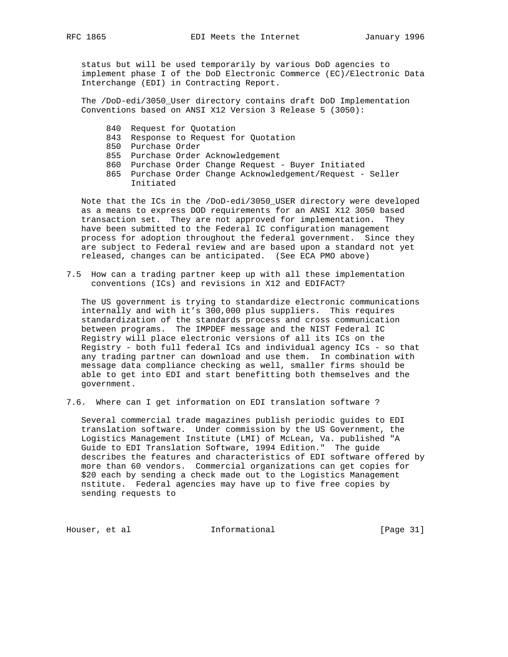status but will be used temporarily by various DoD agencies to implement phase I of the DoD Electronic Commerce (EC)/Electronic Data Interchange (EDI) in Contracting Report.

 The /DoD-edi/3050\_User directory contains draft DoD Implementation Conventions based on ANSI X12 Version 3 Release 5 (3050):

- 840 Request for Quotation
- 843 Response to Request for Quotation
- 850 Purchase Order
- 855 Purchase Order Acknowledgement
- 860 Purchase Order Change Request Buyer Initiated
- 865 Purchase Order Change Acknowledgement/Request Seller Initiated

 Note that the ICs in the /DoD-edi/3050\_USER directory were developed as a means to express DOD requirements for an ANSI X12 3050 based transaction set. They are not approved for implementation. They have been submitted to the Federal IC configuration management process for adoption throughout the federal government. Since they are subject to Federal review and are based upon a standard not yet released, changes can be anticipated. (See ECA PMO above)

7.5 How can a trading partner keep up with all these implementation conventions (ICs) and revisions in X12 and EDIFACT?

 The US government is trying to standardize electronic communications internally and with it's 300,000 plus suppliers. This requires standardization of the standards process and cross communication between programs. The IMPDEF message and the NIST Federal IC Registry will place electronic versions of all its ICs on the Registry - both full federal ICs and individual agency ICs - so that any trading partner can download and use them. In combination with message data compliance checking as well, smaller firms should be able to get into EDI and start benefitting both themselves and the government.

7.6. Where can I get information on EDI translation software ?

 Several commercial trade magazines publish periodic guides to EDI translation software. Under commission by the US Government, the Logistics Management Institute (LMI) of McLean, Va. published "A Guide to EDI Translation Software, 1994 Edition." The guide describes the features and characteristics of EDI software offered by more than 60 vendors. Commercial organizations can get copies for \$20 each by sending a check made out to the Logistics Management nstitute. Federal agencies may have up to five free copies by sending requests to

Houser, et al informational informational [Page 31]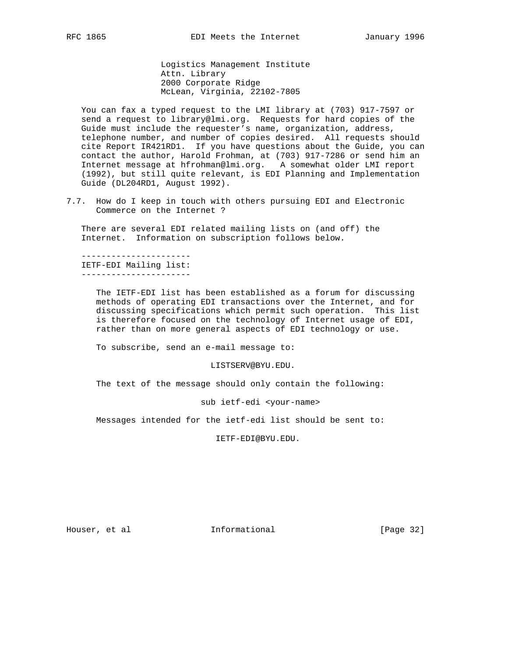Logistics Management Institute Attn. Library 2000 Corporate Ridge McLean, Virginia, 22102-7805

 You can fax a typed request to the LMI library at (703) 917-7597 or send a request to library@lmi.org. Requests for hard copies of the Guide must include the requester's name, organization, address, telephone number, and number of copies desired. All requests should cite Report IR421RD1. If you have questions about the Guide, you can contact the author, Harold Frohman, at (703) 917-7286 or send him an Internet message at hfrohman@lmi.org. A somewhat older LMI report (1992), but still quite relevant, is EDI Planning and Implementation Guide (DL204RD1, August 1992).

7.7. How do I keep in touch with others pursuing EDI and Electronic Commerce on the Internet ?

 There are several EDI related mailing lists on (and off) the Internet. Information on subscription follows below.

 ---------------------- IETF-EDI Mailing list: ----------------------

> The IETF-EDI list has been established as a forum for discussing methods of operating EDI transactions over the Internet, and for discussing specifications which permit such operation. This list is therefore focused on the technology of Internet usage of EDI, rather than on more general aspects of EDI technology or use.

To subscribe, send an e-mail message to:

LISTSERV@BYU.EDU.

The text of the message should only contain the following:

sub ietf-edi <your-name>

Messages intended for the ietf-edi list should be sent to:

IETF-EDI@BYU.EDU.

Houser, et al **Informational** [Page 32]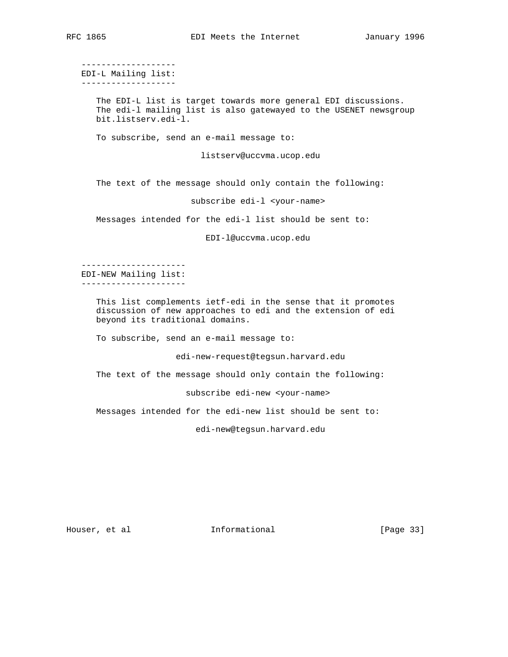------------------- EDI-L Mailing list: -------------------

> The EDI-L list is target towards more general EDI discussions. The edi-l mailing list is also gatewayed to the USENET newsgroup bit.listserv.edi-l.

To subscribe, send an e-mail message to:

listserv@uccvma.ucop.edu

The text of the message should only contain the following:

subscribe edi-l <your-name>

Messages intended for the edi-l list should be sent to:

EDI-l@uccvma.ucop.edu

 --------------------- EDI-NEW Mailing list: ---------------------

> This list complements ietf-edi in the sense that it promotes discussion of new approaches to edi and the extension of edi beyond its traditional domains.

To subscribe, send an e-mail message to:

edi-new-request@tegsun.harvard.edu

The text of the message should only contain the following:

subscribe edi-new <your-name>

Messages intended for the edi-new list should be sent to:

edi-new@tegsun.harvard.edu

Houser, et al informational informational [Page 33]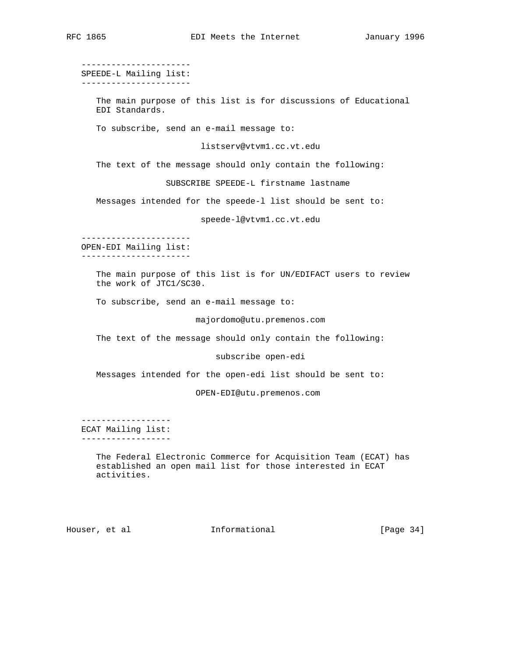---------------------- SPEEDE-L Mailing list: ---------------------- The main purpose of this list is for discussions of Educational EDI Standards. To subscribe, send an e-mail message to: listserv@vtvm1.cc.vt.edu The text of the message should only contain the following: SUBSCRIBE SPEEDE-L firstname lastname Messages intended for the speede-l list should be sent to: speede-l@vtvm1.cc.vt.edu ---------------------- OPEN-EDI Mailing list: ---------------------- The main purpose of this list is for UN/EDIFACT users to review the work of JTC1/SC30. To subscribe, send an e-mail message to: majordomo@utu.premenos.com The text of the message should only contain the following: subscribe open-edi Messages intended for the open-edi list should be sent to: OPEN-EDI@utu.premenos.com ------------------ ECAT Mailing list: ------------------ The Federal Electronic Commerce for Acquisition Team (ECAT) has established an open mail list for those interested in ECAT activities.

Houser, et al **Informational** [Page 34]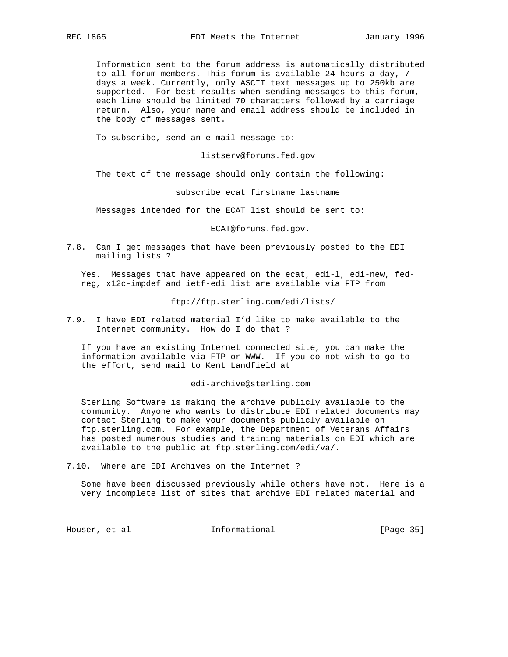Information sent to the forum address is automatically distributed to all forum members. This forum is available 24 hours a day, 7 days a week. Currently, only ASCII text messages up to 250kb are supported. For best results when sending messages to this forum, each line should be limited 70 characters followed by a carriage return. Also, your name and email address should be included in the body of messages sent.

To subscribe, send an e-mail message to:

listserv@forums.fed.gov

The text of the message should only contain the following:

subscribe ecat firstname lastname

Messages intended for the ECAT list should be sent to:

ECAT@forums.fed.gov.

7.8. Can I get messages that have been previously posted to the EDI mailing lists ?

 Yes. Messages that have appeared on the ecat, edi-l, edi-new, fed reg, x12c-impdef and ietf-edi list are available via FTP from

ftp://ftp.sterling.com/edi/lists/

7.9. I have EDI related material I'd like to make available to the Internet community. How do I do that ?

 If you have an existing Internet connected site, you can make the information available via FTP or WWW. If you do not wish to go to the effort, send mail to Kent Landfield at

#### edi-archive@sterling.com

 Sterling Software is making the archive publicly available to the community. Anyone who wants to distribute EDI related documents may contact Sterling to make your documents publicly available on ftp.sterling.com. For example, the Department of Veterans Affairs has posted numerous studies and training materials on EDI which are available to the public at ftp.sterling.com/edi/va/.

7.10. Where are EDI Archives on the Internet ?

 Some have been discussed previously while others have not. Here is a very incomplete list of sites that archive EDI related material and

Houser, et al **Informational** [Page 35]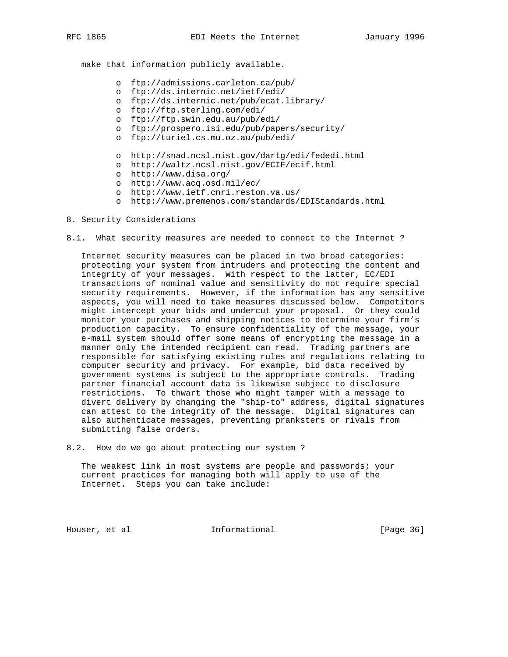make that information publicly available.

- o ftp://admissions.carleton.ca/pub/
- o ftp://ds.internic.net/ietf/edi/
- o ftp://ds.internic.net/pub/ecat.library/
- o ftp://ftp.sterling.com/edi/
- o ftp://ftp.swin.edu.au/pub/edi/
- o ftp://prospero.isi.edu/pub/papers/security/
- o ftp://turiel.cs.mu.oz.au/pub/edi/
- o http://snad.ncsl.nist.gov/dartg/edi/fededi.html
- o http://waltz.ncsl.nist.gov/ECIF/ecif.html
- o http://www.disa.org/
- o http://www.acq.osd.mil/ec/
- o http://www.ietf.cnri.reston.va.us/
	- o http://www.premenos.com/standards/EDIStandards.html
- 8. Security Considerations
- 8.1. What security measures are needed to connect to the Internet ?

 Internet security measures can be placed in two broad categories: protecting your system from intruders and protecting the content and integrity of your messages. With respect to the latter, EC/EDI transactions of nominal value and sensitivity do not require special security requirements. However, if the information has any sensitive aspects, you will need to take measures discussed below. Competitors might intercept your bids and undercut your proposal. Or they could monitor your purchases and shipping notices to determine your firm's production capacity. To ensure confidentiality of the message, your e-mail system should offer some means of encrypting the message in a manner only the intended recipient can read. Trading partners are responsible for satisfying existing rules and regulations relating to computer security and privacy. For example, bid data received by government systems is subject to the appropriate controls. Trading partner financial account data is likewise subject to disclosure restrictions. To thwart those who might tamper with a message to divert delivery by changing the "ship-to" address, digital signatures can attest to the integrity of the message. Digital signatures can also authenticate messages, preventing pranksters or rivals from submitting false orders.

8.2. How do we go about protecting our system ?

 The weakest link in most systems are people and passwords; your current practices for managing both will apply to use of the Internet. Steps you can take include:

Houser, et al **Informational** [Page 36]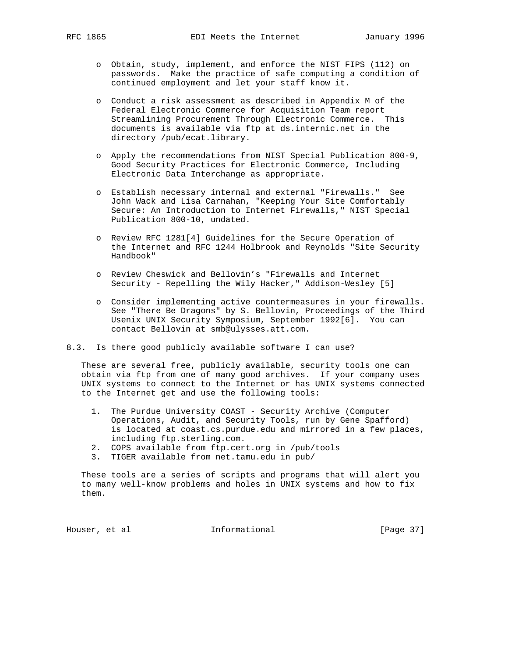- o Obtain, study, implement, and enforce the NIST FIPS (112) on passwords. Make the practice of safe computing a condition of continued employment and let your staff know it.
- o Conduct a risk assessment as described in Appendix M of the Federal Electronic Commerce for Acquisition Team report Streamlining Procurement Through Electronic Commerce. This documents is available via ftp at ds.internic.net in the directory /pub/ecat.library.
- o Apply the recommendations from NIST Special Publication 800-9, Good Security Practices for Electronic Commerce, Including Electronic Data Interchange as appropriate.
- o Establish necessary internal and external "Firewalls." See John Wack and Lisa Carnahan, "Keeping Your Site Comfortably Secure: An Introduction to Internet Firewalls," NIST Special Publication 800-10, undated.
- o Review RFC 1281[4] Guidelines for the Secure Operation of the Internet and RFC 1244 Holbrook and Reynolds "Site Security Handbook"
- o Review Cheswick and Bellovin's "Firewalls and Internet Security - Repelling the Wily Hacker," Addison-Wesley [5]
- o Consider implementing active countermeasures in your firewalls. See "There Be Dragons" by S. Bellovin, Proceedings of the Third Usenix UNIX Security Symposium, September 1992[6]. You can contact Bellovin at smb@ulysses.att.com.
- 8.3. Is there good publicly available software I can use?

 These are several free, publicly available, security tools one can obtain via ftp from one of many good archives. If your company uses UNIX systems to connect to the Internet or has UNIX systems connected to the Internet get and use the following tools:

- 1. The Purdue University COAST Security Archive (Computer Operations, Audit, and Security Tools, run by Gene Spafford) is located at coast.cs.purdue.edu and mirrored in a few places, including ftp.sterling.com.
- 2. COPS available from ftp.cert.org in /pub/tools
- 3. TIGER available from net.tamu.edu in pub/

 These tools are a series of scripts and programs that will alert you to many well-know problems and holes in UNIX systems and how to fix them.

Houser, et al **Informational** [Page 37]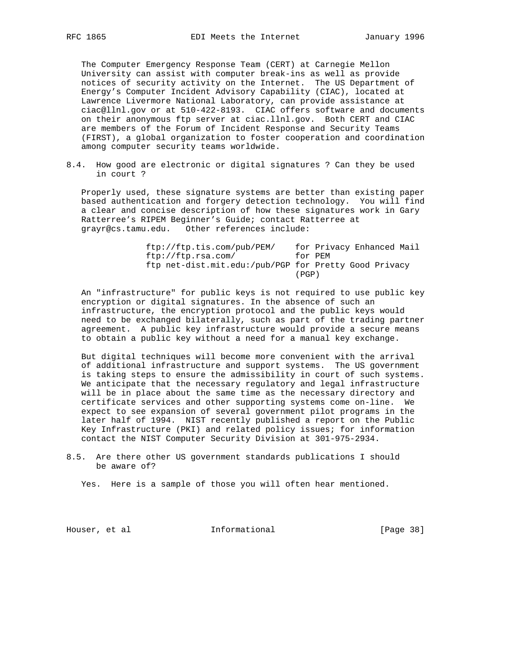The Computer Emergency Response Team (CERT) at Carnegie Mellon University can assist with computer break-ins as well as provide notices of security activity on the Internet. The US Department of Energy's Computer Incident Advisory Capability (CIAC), located at Lawrence Livermore National Laboratory, can provide assistance at ciac@llnl.gov or at 510-422-8193. CIAC offers software and documents on their anonymous ftp server at ciac.llnl.gov. Both CERT and CIAC are members of the Forum of Incident Response and Security Teams (FIRST), a global organization to foster cooperation and coordination among computer security teams worldwide.

8.4. How good are electronic or digital signatures ? Can they be used in court ?

 Properly used, these signature systems are better than existing paper based authentication and forgery detection technology. You will find a clear and concise description of how these signatures work in Gary Ratterree's RIPEM Beginner's Guide; contact Ratterree at grayr@cs.tamu.edu. Other references include:

| ftp://ftp.tis.com/public/PEM/                         | for Privacy Enhanced Mail |
|-------------------------------------------------------|---------------------------|
| ftp://ftp.rsa.com/                                    | for PEM                   |
| ftp net-dist.mit.edu:/pub/PGP for Pretty Good Privacy |                           |
|                                                       | (PGP)                     |

 An "infrastructure" for public keys is not required to use public key encryption or digital signatures. In the absence of such an infrastructure, the encryption protocol and the public keys would need to be exchanged bilaterally, such as part of the trading partner agreement. A public key infrastructure would provide a secure means to obtain a public key without a need for a manual key exchange.

 But digital techniques will become more convenient with the arrival of additional infrastructure and support systems. The US government is taking steps to ensure the admissibility in court of such systems. We anticipate that the necessary regulatory and legal infrastructure will be in place about the same time as the necessary directory and certificate services and other supporting systems come on-line. We expect to see expansion of several government pilot programs in the later half of 1994. NIST recently published a report on the Public Key Infrastructure (PKI) and related policy issues; for information contact the NIST Computer Security Division at 301-975-2934.

8.5. Are there other US government standards publications I should be aware of?

Yes. Here is a sample of those you will often hear mentioned.

Houser, et al **Informational Informational** [Page 38]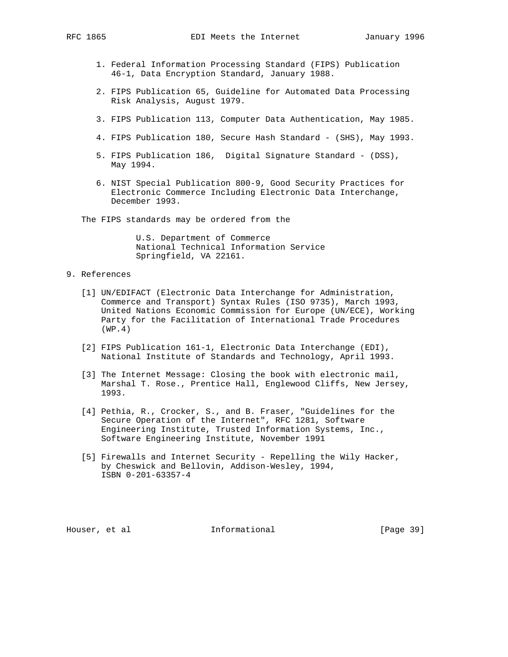- 1. Federal Information Processing Standard (FIPS) Publication 46-1, Data Encryption Standard, January 1988.
- 2. FIPS Publication 65, Guideline for Automated Data Processing Risk Analysis, August 1979.
- 3. FIPS Publication 113, Computer Data Authentication, May 1985.
- 4. FIPS Publication 180, Secure Hash Standard (SHS), May 1993.
- 5. FIPS Publication 186, Digital Signature Standard (DSS), May 1994.
- 6. NIST Special Publication 800-9, Good Security Practices for Electronic Commerce Including Electronic Data Interchange, December 1993.

The FIPS standards may be ordered from the

 U.S. Department of Commerce National Technical Information Service Springfield, VA 22161.

## 9. References

- [1] UN/EDIFACT (Electronic Data Interchange for Administration, Commerce and Transport) Syntax Rules (ISO 9735), March 1993, United Nations Economic Commission for Europe (UN/ECE), Working Party for the Facilitation of International Trade Procedures (WP.4)
- [2] FIPS Publication 161-1, Electronic Data Interchange (EDI), National Institute of Standards and Technology, April 1993.
- [3] The Internet Message: Closing the book with electronic mail, Marshal T. Rose., Prentice Hall, Englewood Cliffs, New Jersey, 1993.
- [4] Pethia, R., Crocker, S., and B. Fraser, "Guidelines for the Secure Operation of the Internet", RFC 1281, Software Engineering Institute, Trusted Information Systems, Inc., Software Engineering Institute, November 1991
- [5] Firewalls and Internet Security Repelling the Wily Hacker, by Cheswick and Bellovin, Addison-Wesley, 1994, ISBN 0-201-63357-4

Houser, et al **Informational** [Page 39]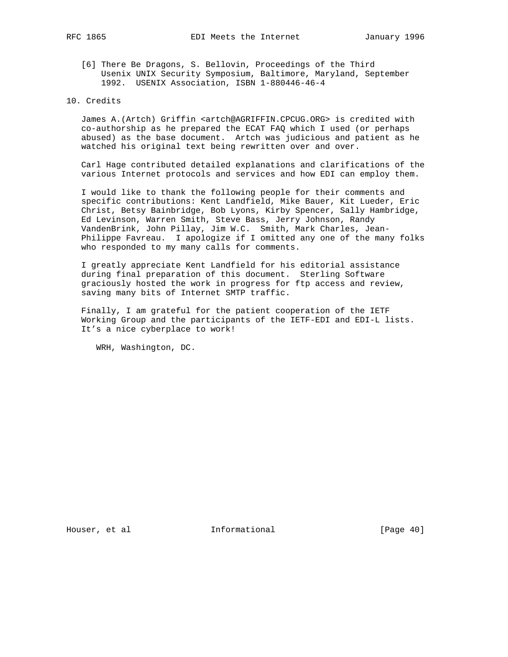[6] There Be Dragons, S. Bellovin, Proceedings of the Third Usenix UNIX Security Symposium, Baltimore, Maryland, September 1992. USENIX Association, ISBN 1-880446-46-4

### 10. Credits

 James A.(Artch) Griffin <artch@AGRIFFIN.CPCUG.ORG> is credited with co-authorship as he prepared the ECAT FAQ which I used (or perhaps abused) as the base document. Artch was judicious and patient as he watched his original text being rewritten over and over.

 Carl Hage contributed detailed explanations and clarifications of the various Internet protocols and services and how EDI can employ them.

 I would like to thank the following people for their comments and specific contributions: Kent Landfield, Mike Bauer, Kit Lueder, Eric Christ, Betsy Bainbridge, Bob Lyons, Kirby Spencer, Sally Hambridge, Ed Levinson, Warren Smith, Steve Bass, Jerry Johnson, Randy VandenBrink, John Pillay, Jim W.C. Smith, Mark Charles, Jean- Philippe Favreau. I apologize if I omitted any one of the many folks who responded to my many calls for comments.

 I greatly appreciate Kent Landfield for his editorial assistance during final preparation of this document. Sterling Software graciously hosted the work in progress for ftp access and review, saving many bits of Internet SMTP traffic.

 Finally, I am grateful for the patient cooperation of the IETF Working Group and the participants of the IETF-EDI and EDI-L lists. It's a nice cyberplace to work!

WRH, Washington, DC.

Houser, et al **Informational** [Page 40]